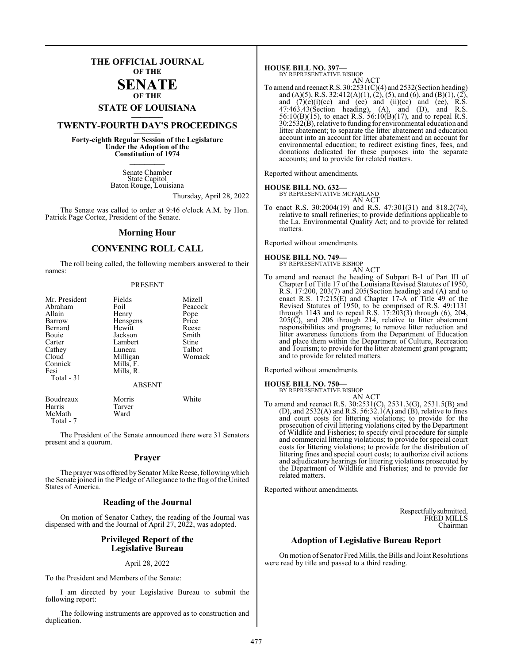## **THE OFFICIAL JOURNAL OF THE**

#### **SENATE OF THE**

# **STATE OF LOUISIANA \_\_\_\_\_\_\_**

## **TWENTY-FOURTH DAY'S PROCEEDINGS \_\_\_\_\_\_\_**

**Forty-eighth Regular Session of the Legislature Under the Adoption of the Constitution of 1974 \_\_\_\_\_\_\_**

> Senate Chamber State Capitol Baton Rouge, Louisiana

> > Thursday, April 28, 2022

The Senate was called to order at 9:46 o'clock A.M. by Hon. Patrick Page Cortez, President of the Senate.

#### **Morning Hour**

### **CONVENING ROLL CALL**

The roll being called, the following members answered to their names:

#### PRESENT

| Mr. President<br>Abraham<br>Allain<br>Barrow<br>Bernard<br>Bouie<br>Carter<br>Cathey<br>Cloud | Fields<br>Foil<br>Henry<br>Hensgens<br>Hewitt<br>Jackson<br>Lambert<br>Luneau<br>Milligan | Mizell<br>Peacock<br>Pope<br>Price<br>Reese<br>Smith<br>Stine<br>Talbot<br>Womack |
|-----------------------------------------------------------------------------------------------|-------------------------------------------------------------------------------------------|-----------------------------------------------------------------------------------|
| Connick<br>Fesi<br>Total - 31                                                                 | Mills, F.<br>Mills, R.<br><b>ABSENT</b>                                                   |                                                                                   |
| Boudreaux<br>Harris<br>McMath                                                                 | Morris<br>Tarver<br>Ward                                                                  | White                                                                             |

The President of the Senate announced there were 31 Senators present and a quorum.

#### **Prayer**

The prayer was offered by Senator Mike Reese, following which the Senate joined in the Pledge of Allegiance to the flag of the United States of America.

#### **Reading of the Journal**

On motion of Senator Cathey, the reading of the Journal was dispensed with and the Journal of April 27, 2022, was adopted.

#### **Privileged Report of the Legislative Bureau**

#### April 28, 2022

To the President and Members of the Senate:

McMath Total - 7

I am directed by your Legislative Bureau to submit the following report:

The following instruments are approved as to construction and duplication.

**HOUSE BILL NO. 397—** BY REPRESENTATIVE BISHOP

AN ACT

To amend and reenact R.S.  $30:2531(C)(4)$  and  $2532(Section heading)$ and (A)(5), R.S. 32:412(A)(1), (2), (5), and (6), and (B)(1), (2), and  $(7)(e)(i)(ce)$  and  $(ee)$  and  $(ii)(ce)$  and  $(ee)$ , R.S. 47:463.43(Section heading), (A), and (D), and R.S.  $56:10(B)(15)$ , to enact R.S.  $56:10(B)(17)$ , and to repeal R.S. 30:2532(B), relative to funding for environmental education and litter abatement; to separate the litter abatement and education account into an account for litter abatement and an account for environmental education; to redirect existing fines, fees, and donations dedicated for these purposes into the separate accounts; and to provide for related matters.

Reported without amendments.

#### **HOUSE BILL NO. 632—**

BY REPRESENTATIVE MCFARLAND AN ACT

To enact R.S. 30:2004(19) and R.S. 47:301(31) and 818.2(74), relative to small refineries; to provide definitions applicable to the La. Environmental Quality Act; and to provide for related matters.

Reported without amendments.

## **HOUSE BILL NO. 749—** BY REPRESENTATIVE BISHOP

AN ACT

To amend and reenact the heading of Subpart B-1 of Part III of Chapter I of Title 17 of the Louisiana Revised Statutes of 1950, R.S. 17:200, 203(7) and 205(Section heading) and (A) and to enact R.S.  $17:215(E)$  and Chapter 17-A of Title 49 of the Revised Statutes of 1950, to be comprised of R.S. 49:1131 through 1143 and to repeal R.S. 17:203(3) through (6), 204, 205(C), and 206 through 214, relative to litter abatement responsibilities and programs; to remove litter reduction and litter awareness functions from the Department of Education and place them within the Department of Culture, Recreation and Tourism; to provide for the litter abatement grant program; and to provide for related matters.

Reported without amendments.

#### **HOUSE BILL NO. 750—** BY REPRESENTATIVE BISHOP

- AN ACT
- To amend and reenact R.S. 30:2531(C), 2531.3(G), 2531.5(B) and (D), and  $2532(A)$  and R.S.  $56:32.1(A)$  and (B), relative to fines and court costs for littering violations; to provide for the prosecution of civil littering violations cited by the Department of Wildlife and Fisheries; to specify civil procedure for simple and commercial littering violations; to provide for special court costs for littering violations; to provide for the distribution of littering fines and special court costs; to authorize civil actions and adjudicatory hearings for littering violations prosecuted by the Department of Wildlife and Fisheries; and to provide for related matters.

Reported without amendments.

Respectfullysubmitted, FRED MILLS Chairman

### **Adoption of Legislative Bureau Report**

On motion of Senator Fred Mills, the Bills and Joint Resolutions were read by title and passed to a third reading.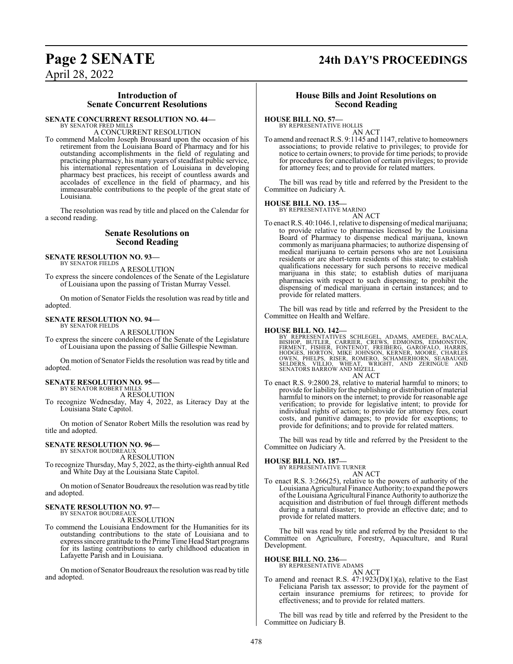## **Page 2 SENATE 24th DAY'S PROCEEDINGS**

April 28, 2022

#### **Introduction of Senate Concurrent Resolutions**

#### **SENATE CONCURRENT RESOLUTION NO. 44—** BY SENATOR FRED MILLS

A CONCURRENT RESOLUTION

To commend Malcolm Joseph Broussard upon the occasion of his retirement from the Louisiana Board of Pharmacy and for his outstanding accomplishments in the field of regulating and practicing pharmacy, his many years of steadfast public service, his international representation of Louisiana in developing pharmacy best practices, his receipt of countless awards and accolades of excellence in the field of pharmacy, and his immeasurable contributions to the people of the great state of Louisiana.

The resolution was read by title and placed on the Calendar for a second reading.

#### **Senate Resolutions on Second Reading**

#### **SENATE RESOLUTION NO. 93—** BY SENATOR FIELDS

A RESOLUTION

To express the sincere condolences of the Senate of the Legislature of Louisiana upon the passing of Tristan Murray Vessel.

On motion of Senator Fields the resolution was read by title and adopted.

#### **SENATE RESOLUTION NO. 94—** BY SENATOR FIELDS

A RESOLUTION

To express the sincere condolences of the Senate of the Legislature of Louisiana upon the passing of Sallie Gillespie Newman.

On motion of Senator Fields the resolution was read by title and adopted.

#### **SENATE RESOLUTION NO. 95—**

BY SENATOR ROBERT MILLS A RESOLUTION

To recognize Wednesday, May 4, 2022, as Literacy Day at the Louisiana State Capitol.

On motion of Senator Robert Mills the resolution was read by title and adopted.

#### **SENATE RESOLUTION NO. 96—** BY SENATOR BOUDREAUX

A RESOLUTION

To recognize Thursday, May 5, 2022, as the thirty-eighth annual Red and White Day at the Louisiana State Capitol.

On motion of Senator Boudreaux the resolution was read by title and adopted.

## **SENATE RESOLUTION NO. 97—** BY SENATOR BOUDREAUX

A RESOLUTION

To commend the Louisiana Endowment for the Humanities for its outstanding contributions to the state of Louisiana and to express sincere gratitude to the Prime Time Head Start programs for its lasting contributions to early childhood education in Lafayette Parish and in Louisiana.

On motion of Senator Boudreaux the resolution was read by title and adopted.

#### **House Bills and Joint Resolutions on Second Reading**

#### **HOUSE BILL NO. 57—**

BY REPRESENTATIVE HOLLIS

AN ACT To amend and reenact R.S. 9:1145 and 1147, relative to homeowners associations; to provide relative to privileges; to provide for notice to certain owners; to provide for time periods; to provide for procedures for cancellation of certain privileges; to provide for attorney fees; and to provide for related matters.

The bill was read by title and referred by the President to the Committee on Judiciary A.

#### **HOUSE BILL NO. 135—**

BY REPRESENTATIVE MARINO AN ACT

To enact R.S. 40:1046.1, relative to dispensing of medical marijuana; to provide relative to pharmacies licensed by the Louisiana Board of Pharmacy to dispense medical marijuana, known commonly as marijuana pharmacies; to authorize dispensing of medical marijuana to certain persons who are not Louisiana residents or are short-term residents of this state; to establish qualifications necessary for such persons to receive medical marijuana in this state; to establish duties of marijuana pharmacies with respect to such dispensing; to prohibit the dispensing of medical marijuana in certain instances; and to provide for related matters.

The bill was read by title and referred by the President to the Committee on Health and Welfare.

#### **HOUSE BILL NO. 142—**

BY REPRESENTATIVES SCHLEGEL, ADAMS, AMEDEE, BACALA,<br>BISHOP, BUTLER, CARRIER, CREWS, EDMONDS, EDMONSTON,<br>FIRMENT, FISHER, FONTENOT, FREIBERG, GAROFALO, HARRIS,<br>HODGES, HORTON, MIKE JOHNSON, KERNER, MOORE, CHARLES<br>OWEN, PHEL

- AN ACT
- To enact R.S. 9:2800.28, relative to material harmful to minors; to provide for liability for the publishing or distribution of material harmful to minors on the internet; to provide for reasonable age verification; to provide for legislative intent; to provide for individual rights of action; to provide for attorney fees, court costs, and punitive damages; to provide for exceptions; to provide for definitions; and to provide for related matters.

The bill was read by title and referred by the President to the Committee on Judiciary A.

**HOUSE BILL NO. 187—** BY REPRESENTATIVE TURNER

AN ACT

To enact R.S. 3:266(25), relative to the powers of authority of the Louisiana Agricultural Finance Authority; to expand the powers ofthe Louisiana Agricultural Finance Authority to authorize the acquisition and distribution of fuel through different methods during a natural disaster; to provide an effective date; and to provide for related matters.

The bill was read by title and referred by the President to the Committee on Agriculture, Forestry, Aquaculture, and Rural Development.

#### **HOUSE BILL NO. 236—**

BY REPRESENTATIVE ADAMS

AN ACT To amend and reenact R.S. 47:1923(D)(1)(a), relative to the East Feliciana Parish tax assessor; to provide for the payment of certain insurance premiums for retirees; to provide for effectiveness; and to provide for related matters.

The bill was read by title and referred by the President to the Committee on Judiciary B.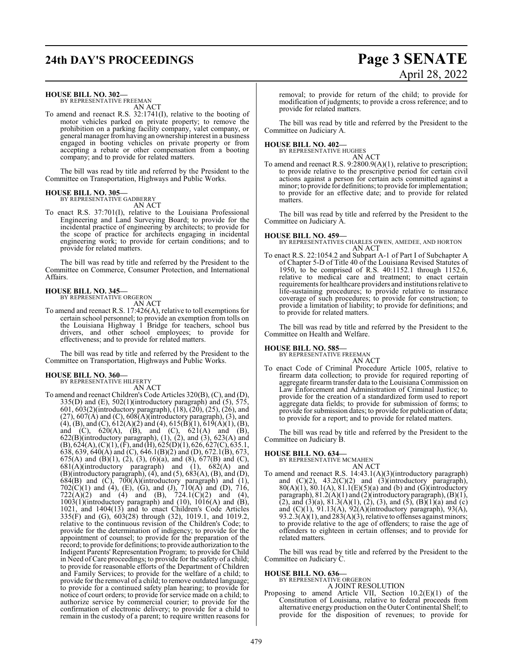#### **HOUSE BILL NO. 302—**

BY REPRESENTATIVE FREEMAN AN ACT

To amend and reenact R.S. 32:1741(I), relative to the booting of motor vehicles parked on private property; to remove the prohibition on a parking facility company, valet company, or general manager fromhaving an ownership interest in a business engaged in booting vehicles on private property or from accepting a rebate or other compensation from a booting company; and to provide for related matters.

The bill was read by title and referred by the President to the Committee on Transportation, Highways and Public Works.

#### **HOUSE BILL NO. 305—**

BY REPRESENTATIVE GADBERRY

- AN ACT
- To enact R.S. 37:701(I), relative to the Louisiana Professional Engineering and Land Surveying Board; to provide for the incidental practice of engineering by architects; to provide for the scope of practice for architects engaging in incidental engineering work; to provide for certain conditions; and to provide for related matters.

The bill was read by title and referred by the President to the Committee on Commerce, Consumer Protection, and International Affairs.

## **HOUSE BILL NO. 345—** BY REPRESENTATIVE ORGERON

- AN ACT
- To amend and reenact R.S. 17:426(A), relative to toll exemptions for certain school personnel; to provide an exemption from tolls on the Louisiana Highway 1 Bridge for teachers, school bus drivers, and other school employees; to provide for effectiveness; and to provide for related matters.

The bill was read by title and referred by the President to the Committee on Transportation, Highways and Public Works.

## **HOUSE BILL NO. 360—** BY REPRESENTATIVE HILFERTY

AN ACT

To amend and reenact Children's Code Articles 320(B), (C), and (D),  $335(D)$  and  $(E)$ ,  $502(1)$ (introductory paragraph) and  $(5)$ ,  $575$ , 601, 603(2)(introductory paragraph), (18), (20), (25), (26), and  $(27)$ ,  $607(A)$  and  $(C)$ ,  $608(A)$ (introductory paragraph),  $(3)$ , and  $(4)$ ,  $(B)$ , and  $(C)$ ,  $612(A)(2)$  and  $(4)$ ,  $615(B)(1)$ ,  $619(A)(1)$ ,  $(B)$ , and (C),  $620(A)$ , (B), and (C),  $621(A)$  and (B),  $622(B)$ (introductory paragraph),  $(1)$ ,  $(2)$ , and  $(3)$ ,  $623(A)$  and  $(B)$ , 624(A), (C)(1), (F), and (H), 625(D)(1), 626, 627(C), 635.1, 638, 639, 640(A) and (C), 646.1(B)(2) and (D), 672.1(B), 673, 675(A) and (B)(1), (2), (3), (6)(a), and (8), 677(B) and (C), 681(A)(introductory paragraph) and (1), 682(A) and  $(B)$ (introductory paragraph),  $(4)$ , and  $(5)$ ,  $683(A)$ ,  $(B)$ , and  $(D)$ ,  $684(B)$  and  $(C)$ ,  $700(A)$ (introductory paragraph) and  $(1)$ , 702(C)(1) and (4), (E), (G), and (J), 710(A) and (D), 716,  $722(A)(2)$  and  $(4)$  and  $(B)$ ,  $724.1(C)(2)$  and  $(4)$ ,  $1003(1)$ (introductory paragraph) and (10),  $1016(A)$  and (B), 1021, and 1404(13) and to enact Children's Code Articles 335(F) and (G), 603(28) through (32), 1019.1, and 1019.2, relative to the continuous revision of the Children's Code; to provide for the determination of indigency; to provide for the appointment of counsel; to provide for the preparation of the record; to provide for definitions; to provide authorization to the Indigent Parents' Representation Program; to provide for Child in Need of Care proceedings; to provide for the safety of a child; to provide for reasonable efforts of the Department of Children and Family Services; to provide for the welfare of a child; to provide for the removal of a child; to remove outdated language; to provide for a continued safety plan hearing; to provide for notice of court orders; to provide forservice made on a child; to authorize service by commercial courier; to provide for the confirmation of electronic delivery; to provide for a child to remain in the custody of a parent; to require written reasons for

## **24th DAY'S PROCEEDINGS Page 3 SENATE** April 28, 2022

removal; to provide for return of the child; to provide for modification of judgments; to provide a cross reference; and to provide for related matters.

The bill was read by title and referred by the President to the Committee on Judiciary A.

### **HOUSE BILL NO. 402—**

BY REPRESENTATIVE HUGHES AN ACT

To amend and reenact R.S. 9:2800.9(A)(1), relative to prescription; to provide relative to the prescriptive period for certain civil actions against a person for certain acts committed against a minor; to provide for definitions; to provide for implementation; to provide for an effective date; and to provide for related matters.

The bill was read by title and referred by the President to the Committee on Judiciary A.

**HOUSE BILL NO. 459—** BY REPRESENTATIVES CHARLES OWEN, AMEDEE, AND HORTON AN ACT

To enact R.S. 22:1054.2 and Subpart A-1 of Part I of Subchapter A of Chapter 5-D of Title 40 of the Louisiana Revised Statutes of 1950, to be comprised of R.S. 40:1152.1 through 1152.6, relative to medical care and treatment; to enact certain requirements for healthcare providers and institutions relative to life-sustaining procedures; to provide relative to insurance coverage of such procedures; to provide for construction; to provide a limitation of liability; to provide for definitions; and to provide for related matters.

The bill was read by title and referred by the President to the Committee on Health and Welfare.

#### **HOUSE BILL NO. 585—**

BY REPRESENTATIVE FREEMAN

- AN ACT
- To enact Code of Criminal Procedure Article 1005, relative to firearm data collection; to provide for required reporting of aggregate firearm transfer data to the Louisiana Commission on Law Enforcement and Administration of Criminal Justice; to provide for the creation of a standardized form used to report aggregate data fields; to provide for submission of forms; to provide for submission dates; to provide for publication of data; to provide for a report; and to provide for related matters.

The bill was read by title and referred by the President to the Committee on Judiciary B.

#### **HOUSE BILL NO. 634—**

BY REPRESENTATIVE MCMAHEN AN ACT

To amend and reenact R.S. 14:43.1(A)(3)(introductory paragraph) and  $(C)(2)$ ,  $43.2(C)(2)$  and  $(3)(introductory)$  paragraph),  $80(A)(1)$ ,  $80.1(A)$ ,  $81.1(E)(5)(a)$  and (b) and (G)(introductory paragraph), 81.2(A)(1) and (2)(introductory paragraph), (B)(1), (2), and (3)(a),  $81.3(A)(1)$ , (2), (3), and (5), (B)(1)(a) and (c) and (C)(1), 91.13(A), 92(A)(introductory paragraph), 93(A), 93.2.3(A)(1), and 283(A)(3), relative to offenses against minors; to provide relative to the age of offenders; to raise the age of offenders to eighteen in certain offenses; and to provide for related matters.

The bill was read by title and referred by the President to the Committee on Judiciary C.

#### **HOUSE BILL NO. 636—**

BY REPRESENTATIVE ORGERON A JOINT RESOLUTION

Proposing to amend Article VII, Section 10.2(E)(1) of the Constitution of Louisiana, relative to federal proceeds from alternative energy production on the Outer Continental Shelf; to provide for the disposition of revenues; to provide for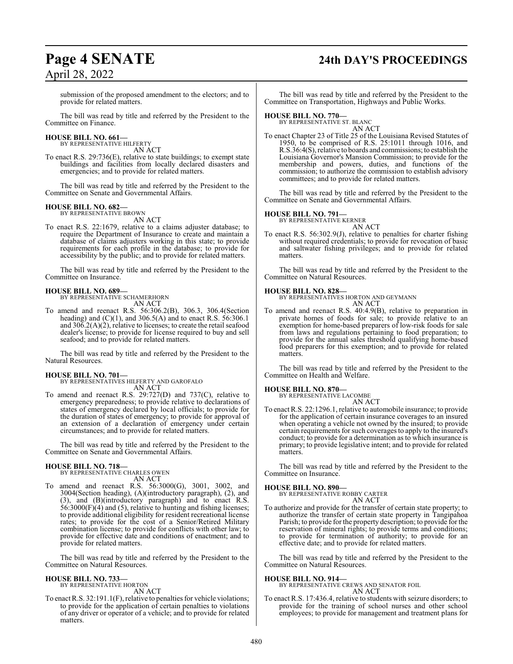# **Page 4 SENATE 24th DAY'S PROCEEDINGS**

submission of the proposed amendment to the electors; and to provide for related matters.

The bill was read by title and referred by the President to the Committee on Finance.

## **HOUSE BILL NO. 661—** BY REPRESENTATIVE HILFERTY

AN ACT

To enact R.S. 29:736(E), relative to state buildings; to exempt state buildings and facilities from locally declared disasters and emergencies; and to provide for related matters.

The bill was read by title and referred by the President to the Committee on Senate and Governmental Affairs.

#### **HOUSE BILL NO. 682—**

BY REPRESENTATIVE BROWN AN ACT

To enact R.S. 22:1679, relative to a claims adjuster database; to require the Department of Insurance to create and maintain a database of claims adjusters working in this state; to provide requirements for each profile in the database; to provide for accessibility by the public; and to provide for related matters.

The bill was read by title and referred by the President to the Committee on Insurance.

#### **HOUSE BILL NO. 689—**

BY REPRESENTATIVE SCHAMERHORN AN ACT

To amend and reenact R.S. 56:306.2(B), 306.3, 306.4(Section heading) and  $(C)(1)$ , and 306.5(A) and to enact R.S. 56:306.1 and  $30\overline{6}$ .  $2(A)(2)$ , relative to licenses; to create the retail seafood dealer's license; to provide for license required to buy and sell seafood; and to provide for related matters.

The bill was read by title and referred by the President to the Natural Resources.

#### **HOUSE BILL NO. 701—**

BY REPRESENTATIVES HILFERTY AND GAROFALO AN ACT

To amend and reenact R.S. 29:727(D) and 737(C), relative to emergency preparedness; to provide relative to declarations of states of emergency declared by local officials; to provide for the duration of states of emergency; to provide for approval of an extension of a declaration of emergency under certain circumstances; and to provide for related matters.

The bill was read by title and referred by the President to the Committee on Senate and Governmental Affairs.

#### **HOUSE BILL NO. 718—**

BY REPRESENTATIVE CHARLES OWEN AN ACT

To amend and reenact R.S. 56:3000(G), 3001, 3002, and 3004(Section heading), (A)(introductory paragraph), (2), and (3), and (B)(introductory paragraph) and to enact R.S. 56:3000(F)(4) and (5), relative to hunting and fishing licenses; to provide additional eligibility for resident recreational license rates; to provide for the cost of a Senior/Retired Military combination license; to provide for conflicts with other law; to provide for effective date and conditions of enactment; and to provide for related matters.

The bill was read by title and referred by the President to the Committee on Natural Resources.

#### **HOUSE BILL NO. 733—**

BY REPRESENTATIVE HORTON AN ACT

To enact R.S. 32:191.1(F), relative to penalties for vehicle violations; to provide for the application of certain penalties to violations of any driver or operator of a vehicle; and to provide for related matters.

The bill was read by title and referred by the President to the Committee on Transportation, Highways and Public Works.

#### **HOUSE BILL NO. 770—**

BY REPRESENTATIVE ST. BLANC AN ACT

To enact Chapter 23 of Title 25 of the Louisiana Revised Statutes of 1950, to be comprised of R.S. 25:1011 through 1016, and R.S.36:4(S), relative to boards and commissions; to establish the Louisiana Governor's Mansion Commission; to provide for the membership and powers, duties, and functions of the commission; to authorize the commission to establish advisory committees; and to provide for related matters.

The bill was read by title and referred by the President to the Committee on Senate and Governmental Affairs.

#### **HOUSE BILL NO. 791—**

BY REPRESENTATIVE KERNER AN ACT

To enact R.S. 56:302.9(J), relative to penalties for charter fishing without required credentials; to provide for revocation of basic and saltwater fishing privileges; and to provide for related matters.

The bill was read by title and referred by the President to the Committee on Natural Resources.

#### **HOUSE BILL NO. 828—**

BY REPRESENTATIVES HORTON AND GEYMANN AN ACT

To amend and reenact R.S. 40:4.9(B), relative to preparation in private homes of foods for sale; to provide relative to an exemption for home-based preparers of low-risk foods for sale from laws and regulations pertaining to food preparation; to provide for the annual sales threshold qualifying home-based food preparers for this exemption; and to provide for related matters.

The bill was read by title and referred by the President to the Committee on Health and Welfare.

#### **HOUSE BILL NO. 870—**

BY REPRESENTATIVE LACOMBE

AN ACT To enact R.S. 22:1296.1, relative to automobile insurance; to provide for the application of certain insurance coverages to an insured when operating a vehicle not owned by the insured; to provide certain requirements for such coverages to apply to the insured's conduct; to provide for a determination as to which insurance is primary; to provide legislative intent; and to provide for related matters.

The bill was read by title and referred by the President to the Committee on Insurance.

**HOUSE BILL NO. 890—** BY REPRESENTATIVE ROBBY CARTER AN ACT

To authorize and provide for the transfer of certain state property; to authorize the transfer of certain state property in Tangipahoa Parish; to provide for the property description; to provide for the reservation of mineral rights; to provide terms and conditions; to provide for termination of authority; to provide for an effective date; and to provide for related matters.

The bill was read by title and referred by the President to the Committee on Natural Resources.

#### **HOUSE BILL NO. 914—**

BY REPRESENTATIVE CREWS AND SENATOR FOIL AN ACT

To enact R.S. 17:436.4, relative to students with seizure disorders; to provide for the training of school nurses and other school employees; to provide for management and treatment plans for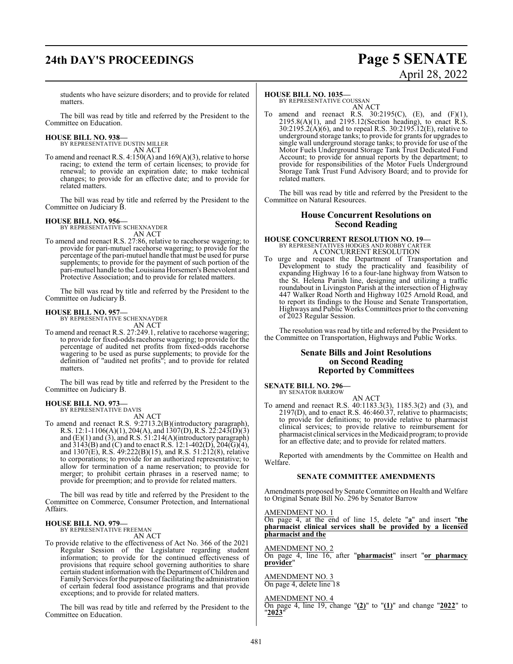# **24th DAY'S PROCEEDINGS Page 5 SENATE**

# April 28, 2022

students who have seizure disorders; and to provide for related matters.

The bill was read by title and referred by the President to the Committee on Education.

## **HOUSE BILL NO. 938—** BY REPRESENTATIVE DUSTIN MILLER

AN ACT

To amend and reenact R.S. 4:150(A) and 169(A)(3), relative to horse racing; to extend the term of certain licenses; to provide for renewal; to provide an expiration date; to make technical changes; to provide for an effective date; and to provide for related matters.

The bill was read by title and referred by the President to the Committee on Judiciary B.

#### **HOUSE BILL NO. 956—**

BY REPRESENTATIVE SCHEXNAYDER AN ACT

To amend and reenact R.S. 27:86, relative to racehorse wagering; to provide for pari-mutuel racehorse wagering; to provide for the percentage of the pari-mutuel handle that must be used for purse supplements; to provide for the payment of such portion of the pari-mutuel handle to the Louisiana Horsemen's Benevolent and Protective Association; and to provide for related matters.

The bill was read by title and referred by the President to the Committee on Judiciary B.

#### **HOUSE BILL NO. 957—**

BY REPRESENTATIVE SCHEXNAYDER AN ACT

To amend and reenact R.S. 27:249.1, relative to racehorse wagering; to provide for fixed-odds racehorse wagering; to provide for the percentage of audited net profits from fixed-odds racehorse wagering to be used as purse supplements; to provide for the definition of "audited net profits"; and to provide for related matters.

The bill was read by title and referred by the President to the Committee on Judiciary B.

## **HOUSE BILL NO. 973—** BY REPRESENTATIVE DAVIS

AN ACT To amend and reenact R.S. 9:2713.2(B)(introductory paragraph), R.S. 12:1-1106(A)(1), 204(A), and 1307(D), R.S. 22:243(D)(3) and (E)(1) and (3), and R.S. 51:214(A)(introductory paragraph) and  $3143(B)$  and (C) and to enact R.S. 12:1-402(D), 204(G)(4), and 1307(E), R.S. 49:222(B)(15), and R.S. 51:212(8), relative to corporations; to provide for an authorized representative; to allow for termination of a name reservation; to provide for merger; to prohibit certain phrases in a reserved name; to provide for preemption; and to provide for related matters.

The bill was read by title and referred by the President to the Committee on Commerce, Consumer Protection, and International Affairs.

### **HOUSE BILL NO. 979—**

BY REPRESENTATIVE FREEMAN AN ACT

To provide relative to the effectiveness of Act No. 366 of the 2021 Regular Session of the Legislature regarding student information; to provide for the continued effectiveness of provisions that require school governing authorities to share certain student information with the Department ofChildren and Family Services for the purpose of facilitating the administration of certain federal food assistance programs and that provide exceptions; and to provide for related matters.

The bill was read by title and referred by the President to the Committee on Education.

#### **HOUSE BILL NO. 1035—**

BY REPRESENTATIVE COUSSAN AN ACT

To amend and reenact R.S.  $30:2195(C)$ , (E), and (F)(1),  $2195.8(A)(1)$ , and  $2195.12$ (Section heading), to enact R.S. 30:2195.2(A)(6), and to repeal R.S. 30:2195.12(E), relative to underground storage tanks; to provide for grants for upgrades to single wall underground storage tanks; to provide for use of the Motor Fuels Underground Storage Tank Trust Dedicated Fund Account; to provide for annual reports by the department; to provide for responsibilities of the Motor Fuels Underground Storage Tank Trust Fund Advisory Board; and to provide for related matters.

The bill was read by title and referred by the President to the Committee on Natural Resources.

#### **House Concurrent Resolutions on Second Reading**

## **HOUSE CONCURRENT RESOLUTION NO. 19—** BY REPRESENTATIVES HODGES AND ROBBY CARTER A CONCURRENT RESOLUTION

To urge and request the Department of Transportation and Development to study the practicality and feasibility of expanding Highway 16 to a four-lane highway from Watson to the St. Helena Parish line, designing and utilizing a traffic roundabout in Livingston Parish at the intersection of Highway 447 Walker Road North and Highway 1025 Arnold Road, and to report its findings to the House and Senate Transportation, Highways and Public Works Committees prior to the convening of 2023 Regular Session.

The resolution was read by title and referred by the President to the Committee on Transportation, Highways and Public Works.

#### **Senate Bills and Joint Resolutions on Second Reading Reported by Committees**

**SENATE BILL NO. 296—** BY SENATOR BARROW

- AN ACT
- To amend and reenact R.S. 40:1183.3(3), 1185.3(2) and (3), and 2197(D), and to enact R.S. 46:460.37, relative to pharmacists; to provide for definitions; to provide relative to pharmacist clinical services; to provide relative to reimbursement for pharmacist clinical services in the Medicaid program; to provide for an effective date; and to provide for related matters.

Reported with amendments by the Committee on Health and Welfare.

#### **SENATE COMMITTEE AMENDMENTS**

Amendments proposed by Senate Committee on Health and Welfare to Original Senate Bill No. 296 by Senator Barrow

#### AMENDMENT NO. 1

On page 4, at the end of line 15, delete "**a**" and insert "**the pharmacist clinical services shall be provided by a licensed pharmacist and the**

#### AMENDMENT NO. 2

On page 4, line 16, after "**pharmacist**" insert "**or pharmacy provider**"

#### AMENDMENT NO. 3 On page 4, delete line 18

AMENDMENT NO. 4 On page 4, line 19, change "**(2)**" to "**(1)**" and change "**2022**" to "**2023**"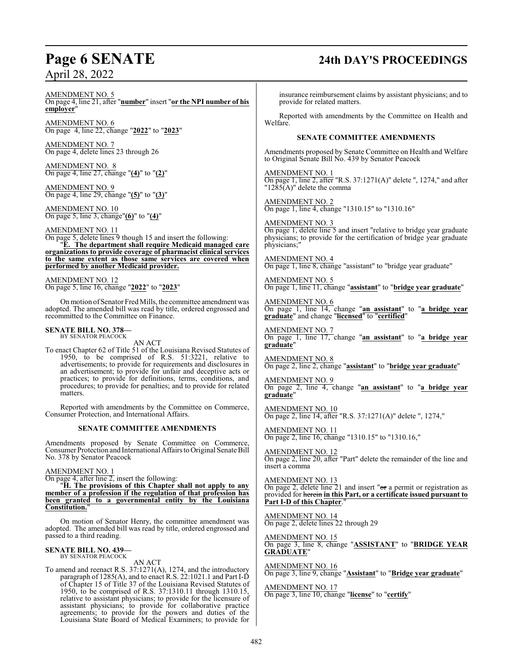# **Page 6 SENATE 24th DAY'S PROCEEDINGS**

AMENDMENT NO. 5 On page 4, line 21, after "**number**" insert "**or the NPI number of his employer**"

AMENDMENT NO. 6 On page 4, line 22, change "**2022**" to "**2023**"

AMENDMENT NO. 7 On page 4, delete lines 23 through 26

AMENDMENT NO. 8 On page 4, line 27, change "**(4)**" to "**(2)**"

AMENDMENT NO. 9 On page 4, line 29, change "**(5)**" to "**(3)**"

AMENDMENT NO. 10 On page 5, line 3, change"**(6)**" to "**(4)**"

AMENDMENT NO. 11

On page 5, delete lines 9 though 15 and insert the following: "**E. The department shall require Medicaid managed care organizations to provide coverage of pharmacist clinical services to the same extent as those same services are covered when performed by another Medicaid provider.**

AMENDMENT NO. 12 On page 5, line 16, change "**2022**" to "**2023**"

On motion of Senator Fred Mills, the committee amendment was adopted. The amended bill was read by title, ordered engrossed and recommitted to the Committee on Finance.

#### **SENATE BILL NO. 378—** BY SENATOR PEACOCK

AN ACT

To enact Chapter 62 of Title 51 of the Louisiana Revised Statutes of 1950, to be comprised of R.S. 51:3221, relative to advertisements; to provide for requirements and disclosures in an advertisement; to provide for unfair and deceptive acts or practices; to provide for definitions, terms, conditions, and procedures; to provide for penalties; and to provide for related matters.

Reported with amendments by the Committee on Commerce, Consumer Protection, and International Affairs.

#### **SENATE COMMITTEE AMENDMENTS**

Amendments proposed by Senate Committee on Commerce, Consumer Protection and International Affairs to Original Senate Bill No. 378 by Senator Peacock

#### AMENDMENT NO. 1

On page 4, after line 2, insert the following:

"**H. The provisions of this Chapter shall not apply to any member of a profession if the regulation of that profession has been granted to a governmental entity by the Louisiana Constitution.**"

On motion of Senator Henry, the committee amendment was adopted. The amended bill was read by title, ordered engrossed and passed to a third reading.

#### **SENATE BILL NO. 439—** BY SENATOR PEACOCK

AN ACT

To amend and reenact R.S. 37:1271(A), 1274, and the introductory paragraph of 1285(A), and to enact R.S. 22:1021.1 and Part I-D of Chapter 15 of Title 37 of the Louisiana Revised Statutes of 1950, to be comprised of R.S. 37:1310.11 through 1310.15, relative to assistant physicians; to provide for the licensure of assistant physicians; to provide for collaborative practice agreements; to provide for the powers and duties of the Louisiana State Board of Medical Examiners; to provide for insurance reimbursement claims by assistant physicians; and to provide for related matters.

Reported with amendments by the Committee on Health and Welfare.

#### **SENATE COMMITTEE AMENDMENTS**

Amendments proposed by Senate Committee on Health and Welfare to Original Senate Bill No. 439 by Senator Peacock

AMENDMENT NO. 1 On page 1, line 2, after "R.S. 37:1271(A)" delete ", 1274," and after " $12\overline{85(A)}$ " delete the comma

AMENDMENT NO. 2 On page 1, line 4, change "1310.15" to "1310.16"

AMENDMENT NO. 3 On page 1, delete line 5 and insert "relative to bridge year graduate physicians; to provide for the certification of bridge year graduate physicians;"

AMENDMENT NO. 4 On page 1, line 8, change "assistant" to "bridge year graduate"

AMENDMENT NO. 5 On page 1, line 11, change "**assistant**" to "**bridge year graduate**"

AMENDMENT NO. 6 On page 1, line 14, change "**an assistant**" to "**a bridge year graduate**" and change "**licensed**" to "**certified**"

AMENDMENT NO. 7 On page 1, line 17, change "**an assistant**" to "**a bridge year graduate**"

AMENDMENT NO. 8 On page 2, line 2, change "**assistant**" to "**bridge year graduate**"

AMENDMENT NO. 9 On page 2, line 4, change "**an assistant**" to "**a bridge year graduate**"

AMENDMENT NO. 10 On page 2, line 14, after "R.S. 37:1271(A)" delete ", 1274,"

AMENDMENT NO. 11 On page 2, line 16, change "1310.15" to "1310.16,"

AMENDMENT NO. 12 On page 2, line 20, after "Part" delete the remainder of the line and insert a comma

AMENDMENT NO. 13 On page 2, delete line  $21$  and insert " $\sigma$ r a permit or registration as provided for herein **in this Part, or a certificate issued pursuant to Part I-D of this Chapter**."

AMENDMENT NO. 14 On page 2, delete lines 22 through 29

AMENDMENT NO. 15 On page 3, line 8, change "**ASSISTANT**" to "**BRIDGE YEAR GRADUATE**"

AMENDMENT NO. 16 On page 3, line 9, change "**Assistant**" to "**Bridge year graduate**"

AMENDMENT NO. 17 On page 3, line 10, change "**license**" to "**certify**"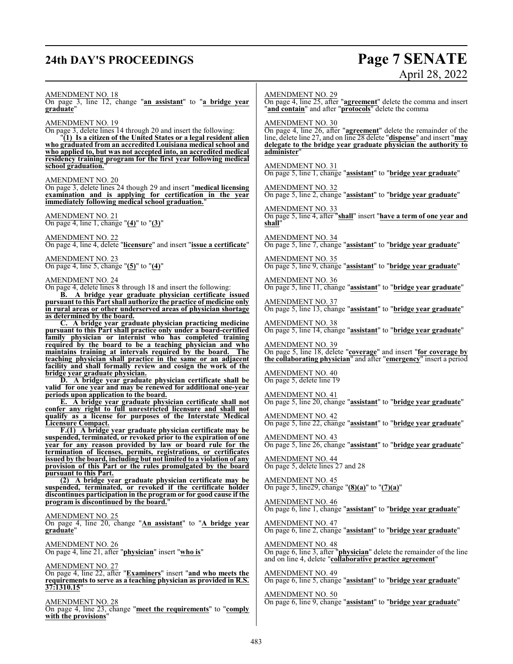## **24th DAY'S PROCEEDINGS Page 7 SENATE**

**with the provisions**"

# April 28, 2022

AMENDMENT NO. 18 On page 3, line 12, change "**an assistant**" to "**a bridge year graduate**" AMENDMENT NO. 19 On page 3, delete lines 14 through 20 and insert the following: "**(1) Is a citizen of the United States or a legal resident alien who graduated from an accredited Louisiana medical school and who applied to, but was not accepted into, an accredited medical residency training program for the first year following medical** school graduation. AMENDMENT NO. 20 On page 3, delete lines 24 though 29 and insert "**medical licensing examination and is applying for certification in the year immediately following medical school graduation.**" AMENDMENT NO. 21 On page 4, line 1, change "**(4)**" to "**(3)**" AMENDMENT NO. 22 On page 4, line 4, delete "**licensure**" and insert "**issue a certificate**" AMENDMENT NO. 23 On page 4, line 5, change "**(5)**" to "**(4)**" AMENDMENT NO. 24 On page 4, delete lines 8 through 18 and insert the following: **B. A bridge year graduate physician certificate issued pursuant to this Part shall authorize the practice of medicine only in rural areas or other underserved areas of physician shortage as determined by the board. C. A bridge year graduate physician practicing medicine pursuant to this Part shall practice only under a board-certified family physician or internist who has completed training required by the board to be a teaching physician and who maintains training at intervals required by the board. The teaching physician shall practice in the same or an adjacent facility and shall formally review and cosign the work of the bridge year graduate physician. D. A bridge year graduate physician certificate shall be valid for one year and may be renewed for additional one-year periods upon application to the board. E. A bridge year graduate physician certificate shall not confer any right to full unrestricted licensure and shall not qualify as a license for purposes of the Interstate Medical Licensure Compact. F.(1) A bridge year graduate physician certificate may be suspended, terminated, or revoked prior to the expiration of one year for any reason provided by law or board rule for the termination of licenses, permits, registrations, or certificates issued by the board, including but not limited to a violation of any provision of this Part or the rules promulgated by the board pursuant to this Part. (2) A bridge year graduate physician certificate may be suspended, terminated, or revoked if the certificate holder discontinues participation in the program or for good cause if the program is discontinued by the board.**" AMENDMENT NO. 25 On page 4, line 20, change "**An assistant**" to "**A bridge year graduate**" AMENDMENT NO. 26 On page 4, line 21, after "**physician**" insert "**who is**" AMENDMENT NO. 27 On page 4, line 22, after "**Examiners**" insert "**and who meets the requirements to serve as a teaching physician as provided in R.S. 37:1310.15**" AMENDMENT NO. 28 On page 4, line 23, change "**meet the requirements**" to "**comply** AMENDMENT NO. 29 On page 4, line 25, after "**agreement**" delete the comma and insert "**and contain**" and after "**protocols**" delete the comma AMENDMENT NO. 30 On page 4, line 26, after "**agreement**" delete the remainder of the line, delete line 27, and on line 28 delete "**dispense**" and insert "**may delegate to the bridge year graduate physician the authority to administer**" AMENDMENT NO. 31 On page 5, line 1, change "**assistant**" to "**bridge year graduate**" AMENDMENT NO. 32 On page 5, line 2, change "**assistant**" to "**bridge year graduate**" AMENDMENT NO. 33 On page 5, line 4, after "**shall**" insert "**have a term of one year and shall**" AMENDMENT NO. 34 On page 5, line 7, change "**assistant**" to "**bridge year graduate**" AMENDMENT NO. 35 On page 5, line 9, change "**assistant**" to "**bridge year graduate**" AMENDMENT NO. 36 On page 5, line 11, change "**assistant**" to "**bridge year graduate**" AMENDMENT NO. 37 On page 5, line 13, change "**assistant**" to "**bridge year graduate**" AMENDMENT NO. 38 On page 5, line 14, change "**assistant**" to "**bridge year graduate**" AMENDMENT NO. 39 On page 5, line 18, delete "**coverage**" and insert "**for coverage by the collaborating physician**" and after "**emergency**" insert a period AMENDMENT NO. 40 On page 5, delete line 19 AMENDMENT NO. 41 On page 5, line 20, change "**assistant**" to "**bridge year graduate**" AMENDMENT NO. 42 On page 5, line 22, change "**assistant**" to "**bridge year graduate**" AMENDMENT NO. 43 On page 5, line 26, change "**assistant**" to "**bridge year graduate**" AMENDMENT NO. 44 On page 5, delete lines 27 and 28 AMENDMENT NO. 45 On page 5, line29, change "**(8)(a)**" to "**(7)(a)**" AMENDMENT NO. 46 On page 6, line 1, change "**assistant**" to "**bridge year graduate**" AMENDMENT NO. 47 On page 6, line 2, change "**assistant**" to "**bridge year graduate**" AMENDMENT NO. 48 On page 6, line 3, after "**physician**" delete the remainder of the line and on line 4, delete "**collaborative practice agreement**" AMENDMENT NO. 49 On page 6, line 5, change "**assistant**" to "**bridge year graduate**" AMENDMENT NO. 50 On page 6, line 9, change "**assistant**" to "**bridge year graduate**"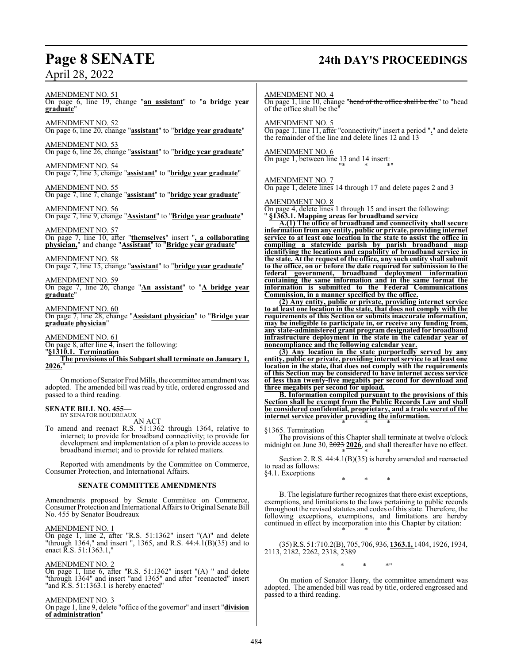## **Page 8 SENATE 24th DAY'S PROCEEDINGS**

AMENDMENT NO. 51 On page 6, line 19, change "**an assistant**" to "**a bridge year graduate**" AMENDMENT NO. 52 On page 6, line 20, change "**assistant**" to "**bridge year graduate**" AMENDMENT NO. 53 On page 6, line 26, change "**assistant**" to "**bridge year graduate**" AMENDMENT NO. 54 On page 7, line 3, change "**assistant**" to "**bridge year graduate**" AMENDMENT NO. 55 On page 7, line 7, change "**assistant**" to "**bridge year graduate**" AMENDMENT NO. 56 On page 7, line 9, change "**Assistant**" to "**Bridge year graduate**" AMENDMENT NO. 57 On page 7, line 10, after "**themselves**" insert "**, a collaborating physician,**" and change "**Assistant**" to "**Bridge year graduate**" AMENDMENT NO. 58 On page 7, line 15, change "**assistant**" to "**bridge year graduate**" AMENDMENT NO. 59 On page 7, line 26, change "**An assistant**" to "**A bridge year graduate**" AMENDMENT NO. 60 On page 7, line 28, change "**Assistant physician**" to "**Bridge year graduate physician**" AMENDMENT NO. 61 On page 8, after line 4, insert the following: "**§1310.1. Termination The provisions of this Subpart shall terminate on January 1, 2026.**" Onmotion ofSenator Fred Mills, the committee amendment was adopted. The amended bill was read by title, ordered engrossed and passed to a third reading. AMENDMENT NO. 8

#### **SENATE BILL NO. 455—** BY SENATOR BOUDREAUX

AN ACT

To amend and reenact R.S. 51:1362 through 1364, relative to internet; to provide for broadband connectivity; to provide for development and implementation of a plan to provide access to broadband internet; and to provide for related matters.

Reported with amendments by the Committee on Commerce, Consumer Protection, and International Affairs.

#### **SENATE COMMITTEE AMENDMENTS**

Amendments proposed by Senate Committee on Commerce, Consumer Protection and International Affairs to Original Senate Bill No. 455 by Senator Boudreaux

AMENDMENT NO. 1

On page 1, line 2, after "R.S. 51:1362" insert "(A)" and delete "through 1364," and insert ", 1365, and R.S. 44:4.1(B)(35) and to enact R.S. 51:1363.1,"

#### AMENDMENT NO. 2

On page 1, line 6, after "R.S. 51:1362" insert "(A) " and delete "through 1364" and insert "and 1365" and after "reenacted" insert "and R.S. 51:1363.1 is hereby enacted"

#### AMENDMENT NO. 3

On page 1, line 9, delete "office of the governor" and insert "**division of administration**"

AMENDMENT NO. 4

On page 1, line 10, change "head of the office shall be the" to "head of the office shall be the"

AMENDMENT NO. 5 On page 1, line 11, after "connectivity" insert a period "**.**" and delete the remainder of the line and delete lines 12 and 13

AMENDMENT NO. 6 On page 1, between line 13 and 14 insert: "\* \* \*"

#### AMENDMENT NO. 7

On page 1, delete lines 14 through 17 and delete pages 2 and 3

On page 4, delete lines 1 through 15 and insert the following: " **§1363.1. Mapping areas for broadband service**

**A.(1) The office of broadband and connectivity shall secure information fromany entity, public or private, providing internet service to at least one location in the state to assist the office in compiling a statewide parish by parish broadband map identifying the locations and capability of broadband service in the state. At the request of the office, any such entity shall submit to the office, on or before the date required for submission to the federal government, broadband deployment information containing the same information and in the same format the information is submitted to the Federal Communications Commission, in a manner specified by the office.** 

**(2) Any entity, public or private, providing internet service to at least one location in the state, that does not comply with the requirements of this Section or submits inaccurate information, may be ineligible to participate in, or receive any funding from, any state-administered grant program designated for broadband infrastructure deployment in the state in the calendar year of noncompliance and the following calendar year.**

**(3) Any location in the state purportedly served by any entity, public or private, providing internet service to at least one location in the state, that does not comply with the requirements of this Section may be considered to have internet access service of less than twenty-five megabits per second for download and three megabits per second for upload.**

**B. Information compiled pursuant to the provisions of this Section shall be exempt from the Public Records Law and shall be considered confidential, proprietary, and a trade secret of the internet service provider providing the information.** \* \* \*

§1365. Termination

The provisions of this Chapter shall terminate at twelve o'clock midnight on June 30,  $\frac{2023}{2026}$ , and shall thereafter have no effect. \* \* \*

Section 2. R.S. 44:4.1(B)(35) is hereby amended and reenacted to read as follows: §4.1. Exceptions

\* \* \*

B. The legislature further recognizes that there exist exceptions, exemptions, and limitations to the laws pertaining to public records throughout the revised statutes and codes of this state. Therefore, the following exceptions, exemptions, and limitations are hereby continued in effect by incorporation into this Chapter by citation: \* \* \*

(35)R.S. 51:710.2(B), 705, 706, 936, **1363.1,** 1404, 1926, 1934, 2113, 2182, 2262, 2318, 2389

\* \* \*"

On motion of Senator Henry, the committee amendment was adopted. The amended bill was read by title, ordered engrossed and passed to a third reading.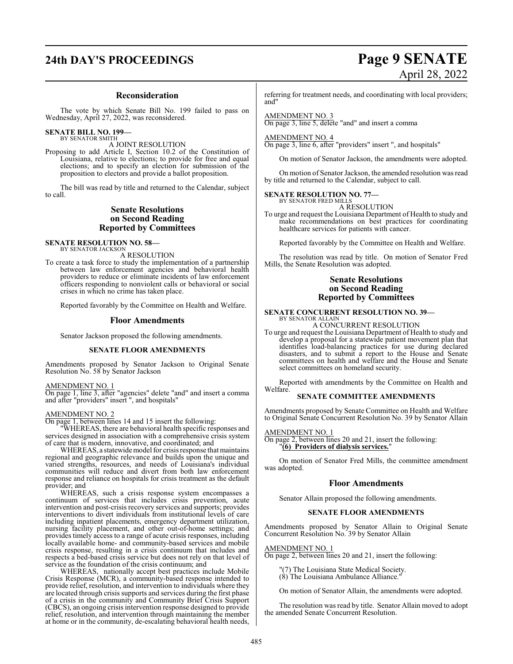# **24th DAY'S PROCEEDINGS Page 9 SENATE**

#### **Reconsideration**

The vote by which Senate Bill No. 199 failed to pass on Wednesday, April 27, 2022, was reconsidered.

#### **SENATE BILL NO. 199—** BY SENATOR SMITH

A JOINT RESOLUTION

Proposing to add Article I, Section 10.2 of the Constitution of Louisiana, relative to elections; to provide for free and equal elections; and to specify an election for submission of the proposition to electors and provide a ballot proposition.

The bill was read by title and returned to the Calendar, subject to call.

#### **Senate Resolutions on Second Reading Reported by Committees**

#### **SENATE RESOLUTION NO. 58—** BY SENATOR JACKSON

A RESOLUTION

To create a task force to study the implementation of a partnership between law enforcement agencies and behavioral health providers to reduce or eliminate incidents of law enforcement officers responding to nonviolent calls or behavioral or social crises in which no crime has taken place.

Reported favorably by the Committee on Health and Welfare.

#### **Floor Amendments**

Senator Jackson proposed the following amendments.

#### **SENATE FLOOR AMENDMENTS**

Amendments proposed by Senator Jackson to Original Senate Resolution No. 58 by Senator Jackson

#### AMENDMENT NO. 1

On page 1, line 3, after "agencies" delete "and" and insert a comma and after "providers" insert ", and hospitals"

#### AMENDMENT NO. 2

On page 1, between lines 14 and 15 insert the following:

"WHEREAS, there are behavioral health specific responses and services designed in association with a comprehensive crisis system of care that is modern, innovative, and coordinated; and

WHEREAS, a statewidemodel for crisis response that maintains regional and geographic relevance and builds upon the unique and varied strengths, resources, and needs of Louisiana's individual communities will reduce and divert from both law enforcement response and reliance on hospitals for crisis treatment as the default provider; and

WHEREAS, such a crisis response system encompasses a continuum of services that includes crisis prevention, acute intervention and post-crisis recovery services and supports; provides interventions to divert individuals from institutional levels of care including inpatient placements, emergency department utilization, nursing facility placement, and other out-of-home settings; and provides timely access to a range of acute crisis responses, including locally available home- and community-based services and mobile crisis response, resulting in a crisis continuum that includes and respects a bed-based crisis service but does not rely on that level of service as the foundation of the crisis continuum; and

WHEREAS, nationally accept best practices include Mobile Crisis Response (MCR), a community-based response intended to provide relief, resolution, and intervention to individuals where they are located through crisis supports and services during the first phase of a crisis in the community and Community Brief Crisis Support (CBCS), an ongoing crisis intervention response designed to provide relief, resolution, and intervention through maintaining the member at home or in the community, de-escalating behavioral health needs, referring for treatment needs, and coordinating with local providers; and"

AMENDMENT NO. 3 On page 3, line 5, delete "and" and insert a comma

#### AMENDMENT NO. 4

On page 3, line 6, after "providers" insert ", and hospitals"

On motion of Senator Jackson, the amendments were adopted.

On motion of Senator Jackson, the amended resolution was read by title and returned to the Calendar, subject to call.

#### **SENATE RESOLUTION NO. 77—**

BY SENATOR FRED MILLS A RESOLUTION

To urge and request the Louisiana Department of Health to study and make recommendations on best practices for coordinating healthcare services for patients with cancer.

Reported favorably by the Committee on Health and Welfare.

The resolution was read by title. On motion of Senator Fred Mills, the Senate Resolution was adopted.

#### **Senate Resolutions on Second Reading Reported by Committees**

## **SENATE CONCURRENT RESOLUTION NO. 39—** BY SENATOR ALLAIN

A CONCURRENT RESOLUTION

To urge and request the Louisiana Department of Health to study and develop a proposal for a statewide patient movement plan that identifies load-balancing practices for use during declared disasters, and to submit a report to the House and Senate committees on health and welfare and the House and Senate select committees on homeland security.

Reported with amendments by the Committee on Health and Welfare.

### **SENATE COMMITTEE AMENDMENTS**

Amendments proposed by Senate Committee on Health and Welfare to Original Senate Concurrent Resolution No. 39 by Senator Allain

AMENDMENT NO. 1

On page 2, between lines 20 and 21, insert the following: "**(6) Providers of dialysis services.**"

On motion of Senator Fred Mills, the committee amendment was adopted.

#### **Floor Amendments**

Senator Allain proposed the following amendments.

#### **SENATE FLOOR AMENDMENTS**

Amendments proposed by Senator Allain to Original Senate Concurrent Resolution No. 39 by Senator Allain

#### AMENDMENT NO. 1

On page 2, between lines 20 and 21, insert the following:

- "(7) The Louisiana State Medical Society.
- (8) The Louisiana Ambulance Alliance."

On motion of Senator Allain, the amendments were adopted.

The resolution was read by title. Senator Allain moved to adopt the amended Senate Concurrent Resolution.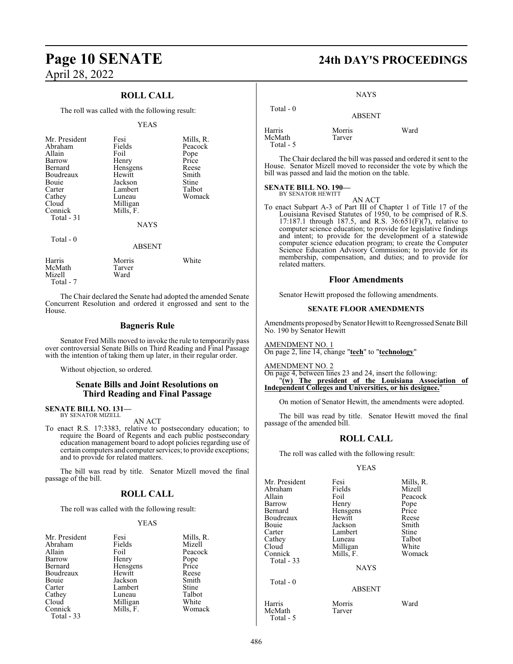### **ROLL CALL**

The roll was called with the following result:

#### YEAS

| Mr. President<br>Abraham<br>Allain<br>Barrow<br>Bernard<br>Boudreaux<br>Bouie<br>Carter<br>Cathey<br>Cloud<br>Connick<br>Total - 31 | Fesi<br>Fields<br>Foil<br>Henry<br>Hensgens<br>Hewitt<br>Jackson<br>Lambert<br>Luneau<br>Milligan<br>Mills, F. | Mills, R.<br>Peacock<br>Pope<br>Price<br>Reese<br>Smith<br>Stine<br>Talbot<br>Womack |
|-------------------------------------------------------------------------------------------------------------------------------------|----------------------------------------------------------------------------------------------------------------|--------------------------------------------------------------------------------------|
|                                                                                                                                     | <b>NAYS</b>                                                                                                    |                                                                                      |
| Total $-0$                                                                                                                          | ABSENT                                                                                                         |                                                                                      |
| Harris<br>McMath<br>Mizell                                                                                                          | Morris<br>Tarver<br>Ward                                                                                       | White                                                                                |

The Chair declared the Senate had adopted the amended Senate Concurrent Resolution and ordered it engrossed and sent to the House.

#### **Bagneris Rule**

Senator Fred Mills moved to invoke the rule to temporarily pass over controversial Senate Bills on Third Reading and Final Passage with the intention of taking them up later, in their regular order.

Without objection, so ordered.

#### **Senate Bills and Joint Resolutions on Third Reading and Final Passage**

#### **SENATE BILL NO. 131—** BY SENATOR MIZELL

Mizell Total - 7

AN ACT

To enact R.S. 17:3383, relative to postsecondary education; to require the Board of Regents and each public postsecondary education management board to adopt policies regarding use of certain computers and computer services; to provide exceptions; and to provide for related matters.

The bill was read by title. Senator Mizell moved the final passage of the bill.

#### **ROLL CALL**

The roll was called with the following result:

#### YEAS

| Fesi      | Mills, R.         |
|-----------|-------------------|
| Fields    | Mizell            |
| Foil      | Peacock           |
|           |                   |
| Hensgens  | Pope<br>Price     |
| Hewitt    | Reese             |
| Jackson   | Smith             |
| Lambert   | Stine             |
| Luneau    | Talbot            |
|           | White             |
| Mills, F. | Womack            |
|           |                   |
|           | Henry<br>Milligan |

## **Page 10 SENATE 24th DAY'S PROCEEDINGS**

| Total $-0$                    | <b>ABSENT</b>    |      |
|-------------------------------|------------------|------|
| Harris<br>McMath<br>Total - 5 | Morris<br>Tarver | Ward |

The Chair declared the bill was passed and ordered it sent to the House. Senator Mizell moved to reconsider the vote by which the bill was passed and laid the motion on the table.

#### **SENATE BILL NO. 190—** BY SENATOR HEWITT

AN ACT

To enact Subpart A-3 of Part III of Chapter 1 of Title 17 of the Louisiana Revised Statutes of 1950, to be comprised of R.S. 17:187.1 through 187.5, and R.S.  $36:651(F)(7)$ , relative to computer science education; to provide for legislative findings and intent; to provide for the development of a statewide computer science education program; to create the Computer Science Education Advisory Commission; to provide for its membership, compensation, and duties; and to provide for related matters.

#### **Floor Amendments**

Senator Hewitt proposed the following amendments.

#### **SENATE FLOOR AMENDMENTS**

Amendments proposed by Senator Hewitt to Reengrossed Senate Bill No. 190 by Senator Hewitt

AMENDMENT NO. 1 On page 2, line 14, change "**tech**" to "**technology**"

AMENDMENT NO. 2 On page 4, between lines 23 and 24, insert the following: "**(w) The president of the Louisiana Association of Independent Colleges and Universities, or his designee.**"

On motion of Senator Hewitt, the amendments were adopted.

The bill was read by title. Senator Hewitt moved the final passage of the amended bill.

#### **ROLL CALL**

The roll was called with the following result:

#### YEAS

| Mr. President | Fesi          | Mills, R. |
|---------------|---------------|-----------|
| Abraham       | Fields        | Mizell    |
| Allain        | Foil          | Peacock   |
| Barrow        | Henry         | Pope      |
| Bernard       | Hensgens      | Price     |
| Boudreaux     | Hewitt        | Reese     |
| Bouie         | Jackson       | Smith     |
| Carter        | Lambert       | Stine     |
| Cathey        | Luneau        | Talbot    |
| Cloud         | Milligan      | White     |
| Connick       | Mills, F.     | Womack    |
| Total - 33    |               |           |
|               | <b>NAYS</b>   |           |
| Total - 0     |               |           |
|               | <b>ABSENT</b> |           |
|               |               |           |

#### ABSENT

Harris Morris Ward<br>McMath Tarver

McMath Total - 5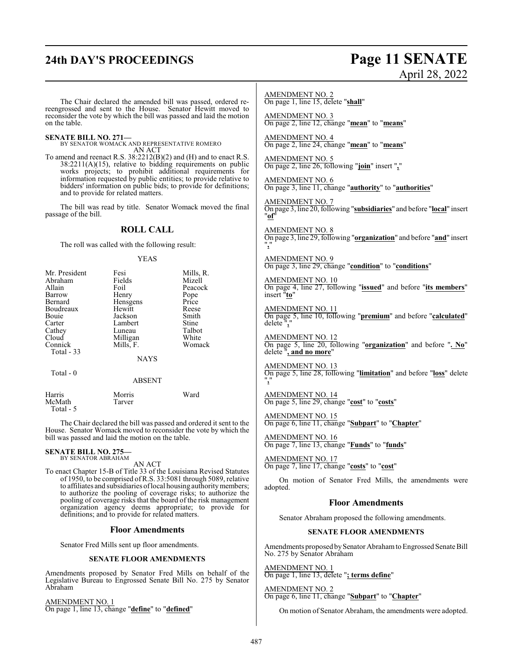## **24th DAY'S PROCEEDINGS Page 11 SENATE**

# April 28, 2022

The Chair declared the amended bill was passed, ordered rereengrossed and sent to the House. Senator Hewitt moved to reconsider the vote by which the bill was passed and laid the motion on the table.

**SENATE BILL NO. 271—** BY SENATOR WOMACK AND REPRESENTATIVE ROMERO AN ACT

To amend and reenact R.S. 38:2212(B)(2) and (H) and to enact R.S. 38:2211(A)(15), relative to bidding requirements on public works projects; to prohibit additional requirements for information requested by public entities; to provide relative to bidders' information on public bids; to provide for definitions; and to provide for related matters.

The bill was read by title. Senator Womack moved the final passage of the bill.

#### **ROLL CALL**

The roll was called with the following result:

#### YEAS

| Mr. President     | Fesi          | Mills, R. |
|-------------------|---------------|-----------|
| Abraham           | Fields        | Mizell    |
| Allain            | Foil          | Peacock   |
| Barrow            | Henry         | Pope      |
| Bernard           | Hensgens      | Price     |
| Boudreaux         | Hewitt        | Reese     |
| Bouie             | Jackson       | Smith     |
| Carter            | Lambert       | Stine     |
| Cathey            | Luneau        | Talbot    |
| Cloud             | Milligan      | White     |
| Connick           | Mills, F.     | Womack    |
| <b>Total - 33</b> |               |           |
|                   | <b>NAYS</b>   |           |
| Total - 0         |               |           |
|                   | <b>ABSENT</b> |           |
|                   |               |           |

| Harris    | Morris | Ward |
|-----------|--------|------|
| McMath    | Tarver |      |
| Total - 5 |        |      |

The Chair declared the bill was passed and ordered it sent to the House. Senator Womack moved to reconsider the vote by which the bill was passed and laid the motion on the table.

## **SENATE BILL NO. 275—** BY SENATOR ABRAHAM

AN ACT

To enact Chapter 15-B of Title 33 of the Louisiana Revised Statutes of 1950, to be comprised ofR.S. 33:5081 through 5089, relative to affiliates and subsidiaries oflocal housing authoritymembers; to authorize the pooling of coverage risks; to authorize the pooling of coverage risks that the board of the risk management organization agency deems appropriate; to provide for definitions; and to provide for related matters.

#### **Floor Amendments**

Senator Fred Mills sent up floor amendments.

#### **SENATE FLOOR AMENDMENTS**

Amendments proposed by Senator Fred Mills on behalf of the Legislative Bureau to Engrossed Senate Bill No. 275 by Senator Abraham

AMENDMENT NO. 1 On page 1, line 13, change "**define**" to "**defined**"

#### AMENDMENT NO. 2

On page 1, line 15, delete "**shall**"

AMENDMENT NO. 3 On page 2, line 12, change "**mean**" to "**means**"

AMENDMENT NO. 4 On page 2, line 24, change "**mean**" to "**means**"

AMENDMENT NO. 5 On page 2, line 26, following "**join**" insert "**,**"

AMENDMENT NO. 6 On page 3, line 11, change "**authority**" to "**authorities**"

AMENDMENT NO. 7 On page 3, line 20, following "**subsidiaries**" and before "**local**" insert "**of**"

AMENDMENT NO. 8 On page 3, line 29, following "**organization**" and before "**and**" insert "**,**"

AMENDMENT NO. 9 On page 3, line 29, change "**condition**" to "**conditions**"

AMENDMENT NO. 10 On page 4, line 27, following "**issued**" and before "**its members**" insert "**to**"

AMENDMENT NO. 11 On page 5, line 10, following "**premium**" and before "**calculated**" delete "**,**"

AMENDMENT NO. 12 On page 5, line 20, following "**organization**" and before "**. No**" delete "**, and no more**"

AMENDMENT NO. 13 On page 5, line 28, following "**limitation**" and before "**loss**" delete "**,**"

AMENDMENT NO. 14 On page 5, line 29, change "**cost**" to "**costs**"

AMENDMENT NO. 15 On page 6, line 11, change "**Subpart**" to "**Chapter**"

AMENDMENT NO. 16 On page 7, line 13, change "**Funds**" to "**funds**"

AMENDMENT NO. 17 On page 7, line 17, change "**costs**" to "**cost**"

On motion of Senator Fred Mills, the amendments were adopted.

#### **Floor Amendments**

Senator Abraham proposed the following amendments.

#### **SENATE FLOOR AMENDMENTS**

Amendments proposed bySenator Abrahamto Engrossed Senate Bill No. 275 by Senator Abraham

AMENDMENT NO. 1 On page 1, line 13, delete "**; terms define**"

AMENDMENT NO. 2 On page 6, line 11, change "**Subpart**" to "**Chapter**"

On motion of Senator Abraham, the amendments were adopted.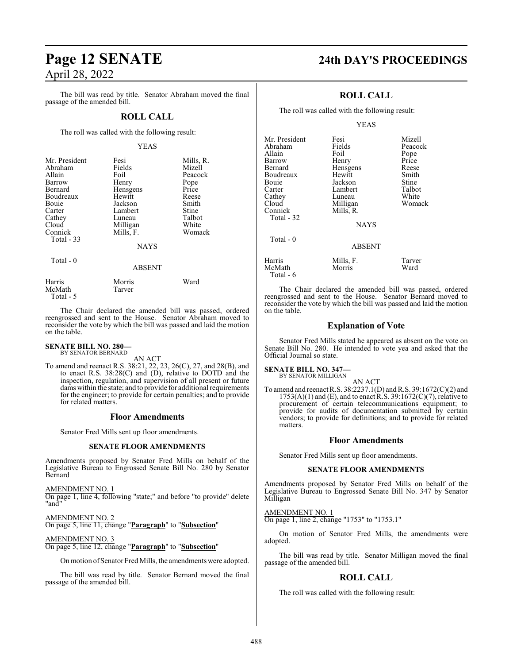The bill was read by title. Senator Abraham moved the final passage of the amended bill.

#### **ROLL CALL**

The roll was called with the following result:

#### YEAS

| Mr. President<br>Abraham<br>Allain<br>Barrow<br>Bernard<br>Boudreaux<br>Bouie<br>Carter<br>Cathey<br>Cloud<br>Connick<br>Total $-33$ | Fesi<br>Fields<br>Foil<br>Henry<br>Hensgens<br>Hewitt<br>Jackson<br>Lambert<br>Luneau<br>Milligan<br>Mills, F. | Mills, R.<br>Mizell<br>Peacock<br>Pope<br>Price<br>Reese<br>Smith<br>Stine<br>Talbot<br>White<br>Womack |
|--------------------------------------------------------------------------------------------------------------------------------------|----------------------------------------------------------------------------------------------------------------|---------------------------------------------------------------------------------------------------------|
|                                                                                                                                      | <b>NAYS</b>                                                                                                    |                                                                                                         |
| Total - 0                                                                                                                            |                                                                                                                |                                                                                                         |

| Harris    | Morris | Ward |
|-----------|--------|------|
| McMath    | Tarver |      |
| Total - 5 |        |      |

The Chair declared the amended bill was passed, ordered reengrossed and sent to the House. Senator Abraham moved to reconsider the vote by which the bill was passed and laid the motion on the table.

ABSENT

## **SENATE BILL NO. 280—** BY SENATOR BERNARD

AN ACT

To amend and reenact R.S. 38:21, 22, 23, 26(C), 27, and 28(B), and to enact R.S. 38:28(C) and (D), relative to DOTD and the inspection, regulation, and supervision of all present or future dams within the state; and to provide for additional requirements for the engineer; to provide for certain penalties; and to provide for related matters.

#### **Floor Amendments**

Senator Fred Mills sent up floor amendments.

#### **SENATE FLOOR AMENDMENTS**

Amendments proposed by Senator Fred Mills on behalf of the Legislative Bureau to Engrossed Senate Bill No. 280 by Senator Bernard

AMENDMENT NO. 1 On page 1, line 4, following "state;" and before "to provide" delete "and"

AMENDMENT NO. 2 On page 5, line 11, change "**Paragraph**" to "**Subsection**"

AMENDMENT NO. 3 On page 5, line 12, change "**Paragraph**" to "**Subsection**"

On motion of Senator Fred Mills, the amendments were adopted.

The bill was read by title. Senator Bernard moved the final passage of the amended bill.

## **Page 12 SENATE 24th DAY'S PROCEEDINGS**

### **ROLL CALL**

The roll was called with the following result:

YEAS

| Mr. President | Fesi          | Mizell  |
|---------------|---------------|---------|
| Abraham       | Fields        | Peacock |
| Allain        | Foil          | Pope    |
| Barrow        | Henry         | Price   |
| Bernard       | Hensgens      | Reese   |
| Boudreaux     | Hewitt        | Smith   |
| Bouie         | Jackson       | Stine   |
| Carter        | Lambert       | Talbot  |
| Cathey        | Luneau        | White   |
| Cloud         | Milligan      | Womack  |
| Connick       | Mills, R.     |         |
| Total $-32$   |               |         |
|               | <b>NAYS</b>   |         |
| Total $-0$    |               |         |
|               | <b>ABSENT</b> |         |
| Harris        | Mills, F.     | Tarver  |
| McMath        | Morris        | Ward    |
|               |               |         |

The Chair declared the amended bill was passed, ordered reengrossed and sent to the House. Senator Bernard moved to reconsider the vote by which the bill was passed and laid the motion on the table.

#### **Explanation of Vote**

Senator Fred Mills stated he appeared as absent on the vote on Senate Bill No. 280. He intended to vote yea and asked that the Official Journal so state.

#### **SENATE BILL NO. 347—** BY SENATOR MILLIGAN

Total - 6

AN ACT To amend and reenact R.S. 38:2237.1(D) and R.S. 39:1672(C)(2) and  $1753(A)(1)$  and (E), and to enact R.S. 39:1672(C)(7), relative to procurement of certain telecommunications equipment; to provide for audits of documentation submitted by certain vendors; to provide for definitions; and to provide for related matters.

#### **Floor Amendments**

Senator Fred Mills sent up floor amendments.

#### **SENATE FLOOR AMENDMENTS**

Amendments proposed by Senator Fred Mills on behalf of the Legislative Bureau to Engrossed Senate Bill No. 347 by Senator Milligan

#### AMENDMENT NO. 1

On page 1, line 2, change "1753" to "1753.1"

On motion of Senator Fred Mills, the amendments were adopted.

The bill was read by title. Senator Milligan moved the final passage of the amended bill.

#### **ROLL CALL**

The roll was called with the following result: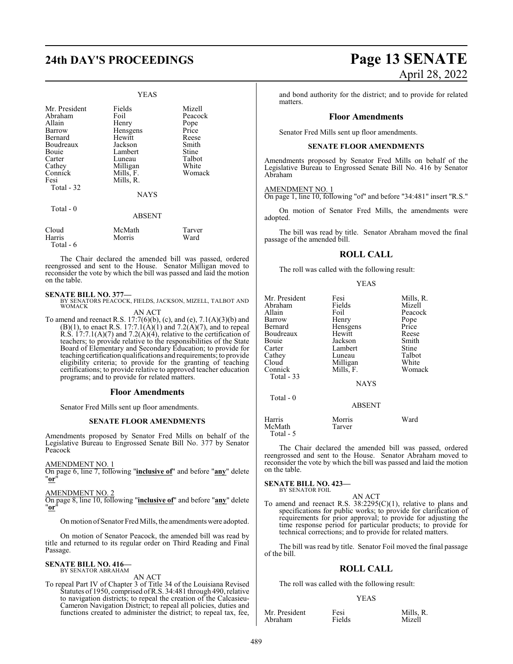#### YEAS

| Mr. President                                     | Fields                                                      | Mizell                    |
|---------------------------------------------------|-------------------------------------------------------------|---------------------------|
| Abraham                                           | Foil                                                        | Peacock                   |
| Allain                                            | Henry                                                       | Pope                      |
| Barrow                                            | Hensgens                                                    | Price                     |
| Bernard                                           | Hewitt                                                      | Reese                     |
| Boudreaux                                         | Jackson                                                     | Smith                     |
| Bouie                                             | Lambert                                                     | Stine                     |
| Carter<br>Cathey<br>Connick<br>Fesi<br>Total - 32 | Luneau<br>Milligan<br>Mills, F.<br>Mills, R.<br><b>NAYS</b> | Talbot<br>White<br>Womack |
| Total $-0$                                        | <b>ABSENT</b>                                               |                           |
| Cloud                                             | McMath                                                      | Tarver                    |
| Harris                                            | Morris                                                      | Ward                      |

 Total - 6 The Chair declared the amended bill was passed, ordered reengrossed and sent to the House. Senator Milligan moved to reconsider the vote by which the bill was passed and laid the motion

on the table.

**SENATE BILL NO. 377—** BY SENATORS PEACOCK, FIELDS, JACKSON, MIZELL, TALBOT AND WOMACK

AN ACT

To amend and reenact R.S. 17:7(6)(b), (c), and (e), 7.1(A)(3)(b) and  $(B)(1)$ , to enact R.S. 17:7.1(A)(1) and 7.2(A)(7), and to repeal R.S.  $17:7.1(A)(7)$  and  $7.2(A)(4)$ , relative to the certification of teachers; to provide relative to the responsibilities of the State Board of Elementary and Secondary Education; to provide for teaching certification qualifications and requirements; to provide eligibility criteria; to provide for the granting of teaching certifications; to provide relative to approved teacher education programs; and to provide for related matters.

#### **Floor Amendments**

Senator Fred Mills sent up floor amendments.

#### **SENATE FLOOR AMENDMENTS**

Amendments proposed by Senator Fred Mills on behalf of the Legislative Bureau to Engrossed Senate Bill No. 377 by Senator Peacock

#### AMENDMENT NO. 1

On page 6, line 7, following "**inclusive of**" and before "**any**" delete "**or**"

#### AMENDMENT NO. 2

On page 8, line 10, following "**inclusive of**" and before "**any**" delete "**or**"

On motion of Senator Fred Mills, the amendments were adopted.

On motion of Senator Peacock, the amended bill was read by title and returned to its regular order on Third Reading and Final Passage.

#### **SENATE BILL NO. 416—** BY SENATOR ABRAHAM

AN ACT

To repeal Part IV of Chapter 3 of Title 34 of the Louisiana Revised Statutes of 1950, comprised ofR.S. 34:481 through 490, relative to navigation districts; to repeal the creation of the Calcasieu-Cameron Navigation District; to repeal all policies, duties and functions created to administer the district; to repeal tax, fee,

## **24th DAY'S PROCEEDINGS Page 13 SENATE** April 28, 2022

and bond authority for the district; and to provide for related matters.

#### **Floor Amendments**

Senator Fred Mills sent up floor amendments.

#### **SENATE FLOOR AMENDMENTS**

Amendments proposed by Senator Fred Mills on behalf of the Legislative Bureau to Engrossed Senate Bill No. 416 by Senator Abraham

#### AMENDMENT NO. 1

On page 1, line 10, following "of" and before "34:481" insert "R.S."

On motion of Senator Fred Mills, the amendments were adopted.

The bill was read by title. Senator Abraham moved the final passage of the amended bill.

#### **ROLL CALL**

The roll was called with the following result:

#### YEAS

| Mr. President<br>Abraham<br>Allain<br>Barrow<br>Bernard<br>Boudreaux<br>Bouie<br>Carter<br>Cathey<br>Cloud<br>Connick<br>Total - 33 | Fesi<br>Fields<br>Foil<br>Henry<br>Hensgens<br>Hewitt<br>Jackson<br>Lambert<br>Luneau<br>Milligan<br>Mills, F.<br><b>NAYS</b> | Mills, R.<br>Mizell<br>Peacock<br>Pope<br>Price<br>Reese<br>Smith<br>Stine<br>Talbot<br>White<br>Womack |
|-------------------------------------------------------------------------------------------------------------------------------------|-------------------------------------------------------------------------------------------------------------------------------|---------------------------------------------------------------------------------------------------------|
| Total $-0$                                                                                                                          | <b>ABSENT</b>                                                                                                                 |                                                                                                         |
| Harris<br>McMath<br>Total - 5                                                                                                       | Morris<br>Tarver                                                                                                              | Ward                                                                                                    |

The Chair declared the amended bill was passed, ordered reengrossed and sent to the House. Senator Abraham moved to reconsider the vote by which the bill was passed and laid the motion on the table.

#### **SENATE BILL NO. 423—** BY SENATOR FOIL

AN ACT

To amend and reenact R.S.  $38:2295(C)(1)$ , relative to plans and specifications for public works; to provide for clarification of requirements for prior approval; to provide for adjusting the time response period for particular products; to provide for technical corrections; and to provide for related matters.

The bill was read by title. Senator Foil moved the final passage of the bill.

#### **ROLL CALL**

The roll was called with the following result:

#### YEAS

Mr. President Fesi Fesi Mills, R.<br>Abraham Fields Mizell Abraham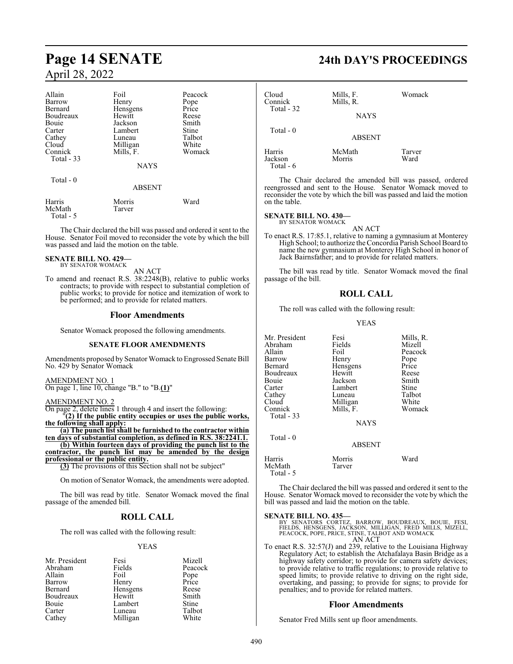| Allain           | Foil             | Peacock |
|------------------|------------------|---------|
| Barrow           | Henry            | Pope    |
| Bernard          | Hensgens         | Price   |
| Boudreaux        | Hewitt           | Reese   |
| Bouie            | Jackson          | Smith   |
| Carter           | Lambert          | Stine   |
| Cathey           | Luneau           | Talbot  |
| Cloud            | Milligan         | White   |
| Connick          | Mills, F.        | Womack  |
| Total - 33       |                  |         |
|                  | <b>NAYS</b>      |         |
| Total - 0        |                  |         |
|                  | <b>ABSENT</b>    |         |
| Harris<br>McMath | Morris<br>Tarver | Ward    |

Total - 5

The Chair declared the bill was passed and ordered it sent to the House. Senator Foil moved to reconsider the vote by which the bill was passed and laid the motion on the table.

#### **SENATE BILL NO. 429—** BY SENATOR WOMACK

AN ACT

To amend and reenact R.S. 38:2248(B), relative to public works contracts; to provide with respect to substantial completion of public works; to provide for notice and itemization of work to be performed; and to provide for related matters.

#### **Floor Amendments**

Senator Womack proposed the following amendments.

#### **SENATE FLOOR AMENDMENTS**

Amendments proposed by Senator Womack to Engrossed Senate Bill No. 429 by Senator Womack

#### AMENDMENT NO. 1

On page 1, line 10, change "B." to "B.**(1)**"

AMENDMENT NO. 2

On page 2, delete lines 1 through 4 and insert the following:

"**(2) If the public entity occupies or uses the public works, the following shall apply:**

**(a) The punch list shall be furnished to the contractor within ten days of substantial completion, as defined in R.S. 38:2241.1.**

**(b) Within fourteen days of providing the punch list to the contractor, the punch list may be amended by the design**

**professional or the public entity. (3)** The provisions of this Section shall not be subject"

On motion of Senator Womack, the amendments were adopted.

The bill was read by title. Senator Womack moved the final passage of the amended bill.

## **ROLL CALL**

The roll was called with the following result:

#### YEAS

| Mr. President | Fesi     | Mizell  |
|---------------|----------|---------|
| Abraham       | Fields   | Peacock |
| Allain        | Foil     | Pope    |
| Barrow        | Henry    | Price   |
| Bernard       | Hensgens | Reese   |
| Boudreaux     | Hewitt   | Smith   |
| Bouie         | Lambert  | Stine   |
| Carter        | Luneau   | Talbot  |
| Cathey        | Milligan | White   |

## **Page 14 SENATE 24th DAY'S PROCEEDINGS**

| Cloud<br>Connick<br>Total - 32 | Mills, F.<br>Mills, R.<br><b>NAYS</b> | Womack         |
|--------------------------------|---------------------------------------|----------------|
| Total - 0                      | <b>ABSENT</b>                         |                |
| Harris<br>Jackson<br>Total - 6 | McMath<br>Morris                      | Tarver<br>Ward |

The Chair declared the amended bill was passed, ordered reengrossed and sent to the House. Senator Womack moved to reconsider the vote by which the bill was passed and laid the motion on the table.

#### **SENATE BILL NO. 430—**

BY SENATOR WOMACK

AN ACT To enact R.S. 17:85.1, relative to naming a gymnasium at Monterey High School; to authorize the Concordia Parish School Board to name the new gymnasium at Monterey High School in honor of Jack Bairnsfather; and to provide for related matters.

The bill was read by title. Senator Womack moved the final passage of the bill.

#### **ROLL CALL**

The roll was called with the following result:

#### YEAS

| Mr. President<br>Abraham<br>Allain<br>Barrow<br>Bernard<br>Boudreaux<br>Bouie<br>Carter<br>Cathey<br>Cloud<br>Connick<br>Total - 33 | Fesi<br>Fields<br>Foil<br>Henry<br>Hensgens<br>Hewitt<br>Jackson<br>Lambert<br>Luneau<br>Milligan<br>Mills, F.<br><b>NAYS</b> | Mills, R.<br>Mizell<br>Peacock<br>Pope<br>Price<br>Reese<br>Smith<br>Stine<br>Talbot<br>White<br>Womack |
|-------------------------------------------------------------------------------------------------------------------------------------|-------------------------------------------------------------------------------------------------------------------------------|---------------------------------------------------------------------------------------------------------|
| Total $-0$                                                                                                                          | <b>ABSENT</b>                                                                                                                 |                                                                                                         |
| Harris<br>McMath                                                                                                                    | Morris<br>Tarver                                                                                                              | Ward                                                                                                    |

The Chair declared the bill was passed and ordered it sent to the House. Senator Womack moved to reconsider the vote by which the bill was passed and laid the motion on the table.

Total - 5

**SENATE BILL NO. 435—**<br>BY SENATORS CORTEZ, BARROW, BOUDREAUX, BOUIE, FESI,<br>FIELDS, HENSGENS, JACKSON, MILLIGAN, FRED MILLS, MIZELL,<br>PEACOCK, POPE, PRICE, STINE, TALBOT AND WOMACK AN ACT

To enact R.S. 32:57(J) and 239, relative to the Louisiana Highway Regulatory Act; to establish the Atchafalaya Basin Bridge as a highway safety corridor; to provide for camera safety devices; to provide relative to traffic regulations; to provide relative to speed limits; to provide relative to driving on the right side, overtaking, and passing; to provide for signs; to provide for penalties; and to provide for related matters.

#### **Floor Amendments**

Senator Fred Mills sent up floor amendments.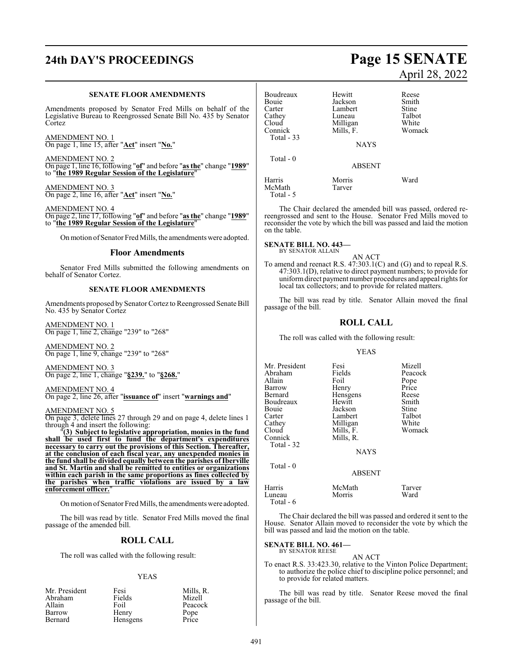# **24th DAY'S PROCEEDINGS Page 15 SENATE**

#### **SENATE FLOOR AMENDMENTS**

Amendments proposed by Senator Fred Mills on behalf of the Legislative Bureau to Reengrossed Senate Bill No. 435 by Senator **Cortez** 

AMENDMENT NO. 1 On page 1, line 15, after "**Act**" insert "**No.**"

AMENDMENT NO. 2 On page 1, line 16, following "**of**" and before "**as the**" change "**1989**" to "**the 1989 Regular Session of the Legislature**"

AMENDMENT NO. 3 On page 2, line 16, after "**Act**" insert "**No.**"

AMENDMENT NO. 4 On page 2, line 17, following "**of**" and before "**asthe**" change "**1989**" to "**the 1989 Regular Session of the Legislature**"

On motion of Senator Fred Mills, the amendments were adopted.

#### **Floor Amendments**

Senator Fred Mills submitted the following amendments on behalf of Senator Cortez.

#### **SENATE FLOOR AMENDMENTS**

Amendments proposed by Senator Cortez to Reengrossed Senate Bill No. 435 by Senator Cortez

AMENDMENT NO. 1 On page 1, line 2, change "239" to "268"

AMENDMENT NO. 2 On page 1, line 9, change "239" to "268"

AMENDMENT NO. 3 On page 2, line 1, change "**§239.**" to "**§268.**"

AMENDMENT NO. 4 On page 2, line 26, after "**issuance of**" insert "**warnings and**"

AMENDMENT NO. 5 On page 3, delete lines 27 through 29 and on page 4, delete lines 1 through 4 and insert the following:

"**(3) Subject to legislative appropriation, monies in the fund shall be used first to fund the department's expenditures necessary to carry out the provisions of this Section. Thereafter, at the conclusion of each fiscal year, any unexpended monies in the fund shall be divided equally between the parishes of Iberville and St. Martin and shall be remitted to entities or organizations within each parish in the same proportions as fines collected by the parishes when traffic violations are issued by a law enforcement officer.** 

Onmotion ofSenator Fred Mills, the amendments were adopted.

The bill was read by title. Senator Fred Mills moved the final passage of the amended bill.

### **ROLL CALL**

The roll was called with the following result:

#### YEAS

| Mr. President | Fesi     | Mills. R. |
|---------------|----------|-----------|
| Abraham       | Fields   | Mizell    |
| Allain        | Foil     | Peacock   |
| Barrow        | Henry    | Pope      |
| Bernard       | Hensgens | Price     |

## Boudreaux Hewitt Reese<br>Bouie Jackson Smith Bouie Jackson Smith Lambert Stine<br>
Luneau Talbot Cathey Luneau Talbot<br>Cloud Milligan White Cloud Milligan<br>Connick Mills, F. Womack

**NAYS** 

ABSENT

Total - 0

Total - 33

McMath Total - 5

Harris Morris Ward

The Chair declared the amended bill was passed, ordered rereengrossed and sent to the House. Senator Fred Mills moved to reconsider the vote by which the bill was passed and laid the motion on the table.

## **SENATE BILL NO. 443—** BY SENATOR ALLAIN

AN ACT To amend and reenact R.S. 47:303.1(C) and (G) and to repeal R.S. 47:303.1(D), relative to direct payment numbers; to provide for uniformdirect payment number procedures and appeal rights for local tax collectors; and to provide for related matters.

The bill was read by title. Senator Allain moved the final passage of the bill.

#### **ROLL CALL**

The roll was called with the following result:

#### YEAS

| Mr. President<br>Abraham<br>Allain<br>Barrow<br>Bernard<br>Boudreaux<br>Bouie<br>Carter<br>Cathey<br>Cloud<br>Connick<br>Total - 32 | Fesi<br>Fields<br>Foil<br>Henry<br>Hensgens<br>Hewitt<br>Jackson<br>Lambert<br>Milligan<br>Mills, F.<br>Mills, R. | Mizell<br>Peacock<br>Pope<br>Price<br>Reese<br>Smith<br>Stine<br>Talbot<br>White<br>Womack |
|-------------------------------------------------------------------------------------------------------------------------------------|-------------------------------------------------------------------------------------------------------------------|--------------------------------------------------------------------------------------------|
|                                                                                                                                     | <b>NAYS</b>                                                                                                       |                                                                                            |
| Total - 0                                                                                                                           | <b>ABSENT</b>                                                                                                     |                                                                                            |
| Harris<br>Luneau                                                                                                                    | McMath<br>Morris                                                                                                  | Tarver<br>Ward                                                                             |

The Chair declared the bill was passed and ordered it sent to the House. Senator Allain moved to reconsider the vote by which the bill was passed and laid the motion on the table.

**SENATE BILL NO. 461—** BY SENATOR REESE

Luneau Total - 6

#### AN ACT

To enact R.S. 33:423.30, relative to the Vinton Police Department; to authorize the police chief to discipline police personnel; and to provide for related matters.

The bill was read by title. Senator Reese moved the final passage of the bill.

# April 28, 2022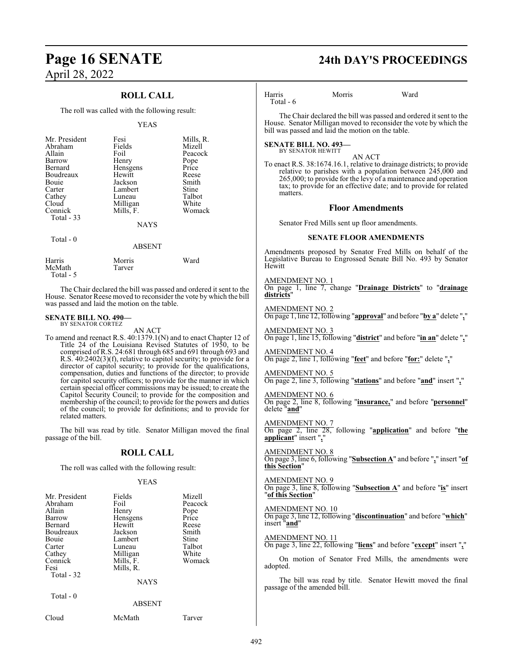## **ROLL CALL**

The roll was called with the following result:

#### YEAS

| Mr. President<br>Abraham<br>Allain<br>Barrow<br>Bernard<br>Boudreaux<br>Bouie<br>Carter<br>Cathey<br>Cloud<br>Connick<br>Total - 33 | Fesi<br>Fields<br>Foil<br>Henry<br>Hensgens<br>Hewitt<br>Jackson<br>Lambert<br>Luneau<br>Milligan<br>Mills, F.<br><b>NAYS</b> | Mills, R.<br>Mizell<br>Peacock<br>Pope<br>Price<br>Reese<br>Smith<br>Stine<br>Talbot<br>White<br>Womack |
|-------------------------------------------------------------------------------------------------------------------------------------|-------------------------------------------------------------------------------------------------------------------------------|---------------------------------------------------------------------------------------------------------|
| Total $-0$                                                                                                                          | <b>ABSENT</b>                                                                                                                 |                                                                                                         |
| Harris                                                                                                                              | Morris                                                                                                                        | Ward                                                                                                    |

| Harris    | Morris | Ward |
|-----------|--------|------|
| McMath    | Tarver |      |
| Total - 5 |        |      |

The Chair declared the bill was passed and ordered it sent to the House. Senator Reese moved to reconsider the vote by which the bill was passed and laid the motion on the table.

#### **SENATE BILL NO. 490—**

BY SENATOR CORTEZ AN ACT

To amend and reenact R.S. 40:1379.1(N) and to enact Chapter 12 of Title 24 of the Louisiana Revised Statutes of 1950, to be comprised of R.S. 24:681 through 685 and 691 through 693 and R.S. 40:2402(3)(f), relative to capitol security; to provide for a director of capitol security; to provide for the qualifications, compensation, duties and functions of the director; to provide for capitol security officers; to provide for the manner in which certain special officer commissions may be issued; to create the Capitol Security Council; to provide for the composition and membership of the council; to provide for the powers and duties of the council; to provide for definitions; and to provide for related matters.

The bill was read by title. Senator Milligan moved the final passage of the bill.

#### **ROLL CALL**

The roll was called with the following result:

#### YEAS

| Mr. President | Fields        | Mizell  |
|---------------|---------------|---------|
| Abraham       | Foil          | Peacock |
| Allain        | Henry         | Pope    |
| Barrow        | Hensgens      | Price   |
| Bernard       | Hewitt        | Reese   |
| Boudreaux     | Jackson       | Smith   |
| Bouie         | Lambert       | Stine   |
| Carter        | Luneau        | Talbot  |
| Cathey        | Milligan      | White   |
| Connick       | Mills, F.     | Womack  |
| Fesi          | Mills, R.     |         |
| Total - 32    |               |         |
|               | <b>NAYS</b>   |         |
| Total - 0     |               |         |
|               | <b>ABSENT</b> |         |
|               |               |         |

## **Page 16 SENATE 24th DAY'S PROCEEDINGS**

Harris Morris Ward Total - 6

The Chair declared the bill was passed and ordered it sent to the House. Senator Milligan moved to reconsider the vote by which the bill was passed and laid the motion on the table.

#### **SENATE BILL NO. 493—** BY SENATOR HEWITT

AN ACT To enact R.S. 38:1674.16.1, relative to drainage districts; to provide relative to parishes with a population between 245,000 and 265,000; to provide for the levy of a maintenance and operation tax; to provide for an effective date; and to provide for related matters.

#### **Floor Amendments**

Senator Fred Mills sent up floor amendments.

#### **SENATE FLOOR AMENDMENTS**

Amendments proposed by Senator Fred Mills on behalf of the Legislative Bureau to Engrossed Senate Bill No. 493 by Senator **Hewitt** 

AMENDMENT NO. 1 On page 1, line 7, change "**Drainage Districts**" to "**drainage districts**"

AMENDMENT NO. 2 On page 1, line 12, following "**approval**" and before "**by a**" delete "**,**"

AMENDMENT NO. 3 On page 1, line 15, following "**district**" and before "**in an**" delete "**,**"

AMENDMENT NO. 4 On page 2, line 1, following "**feet**" and before "**for:**" delete "**,**"

AMENDMENT NO. 5 On page 2, line 3, following "**stations**" and before "**and**" insert "**,**"

AMENDMENT NO. 6 On page 2, line 8, following "**insurance,**" and before "**personnel**" delete "**and**"

AMENDMENT NO. 7 On page 2, line 28, following "**application**" and before "**the applicant**" insert "**,**"

AMENDMENT NO. 8 On page 3, line 6, following "**Subsection A**" and before "**,**" insert "**of this Section**"

AMENDMENT NO. 9 On page 3, line 8, following "**Subsection A**" and before "**is**" insert "**of this Section**"

AMENDMENT NO. 10 On page 3, line 12, following "**discontinuation**" and before "**which**" insert "**and**"

AMENDMENT NO. 11

On page 3, line 22, following "**liens**" and before "**except**" insert "**,**"

On motion of Senator Fred Mills, the amendments were adopted.

The bill was read by title. Senator Hewitt moved the final passage of the amended bill.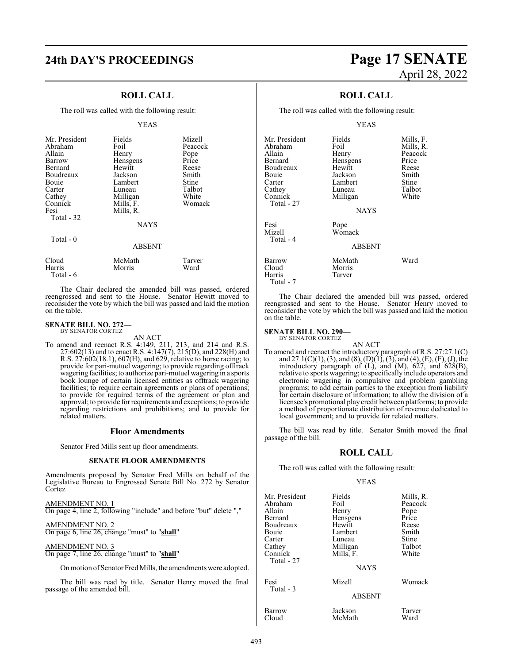### **ROLL CALL**

The roll was called with the following result:

#### YEAS

| Mr. President | Fields        | Mizell  |
|---------------|---------------|---------|
| Abraham       | Foil          | Peacock |
| Allain        | Henry         | Pope    |
| Barrow        | Hensgens      | Price   |
| Bernard       | Hewitt        | Reese   |
| Boudreaux     | Jackson       | Smith   |
| Bouie         | Lambert       | Stine   |
| Carter        | Luneau        | Talbot  |
| Cathey        | Milligan      | White   |
| Connick       | Mills, F.     | Womack  |
| Fesi          | Mills, R.     |         |
| Total - 32    |               |         |
|               | <b>NAYS</b>   |         |
| Total - 0     |               |         |
|               | <b>ABSENT</b> |         |
| Cloud         | McMath        | Tarver  |

Cloud McMath Tarver Harris Morris Ward Total - 6

The Chair declared the amended bill was passed, ordered reengrossed and sent to the House. Senator Hewitt moved to reconsider the vote by which the bill was passed and laid the motion on the table.

#### **SENATE BILL NO. 272—** BY SENATOR CORTEZ

AN ACT

To amend and reenact R.S. 4:149, 211, 213, and 214 and R.S. 27:602(13) and to enact R.S. 4:147(7), 215(D), and 228(H) and R.S. 27:602(18.1), 607(H), and 629, relative to horse racing; to provide for pari-mutuel wagering; to provide regarding offtrack wagering facilities; to authorize pari-mutuel wagering in a sports book lounge of certain licensed entities as offtrack wagering facilities; to require certain agreements or plans of operations; to provide for required terms of the agreement or plan and approval; to provide for requirements and exceptions; to provide regarding restrictions and prohibitions; and to provide for related matters.

#### **Floor Amendments**

Senator Fred Mills sent up floor amendments.

#### **SENATE FLOOR AMENDMENTS**

Amendments proposed by Senator Fred Mills on behalf of the Legislative Bureau to Engrossed Senate Bill No. 272 by Senator Cortez

AMENDMENT NO. 1 On page 4, line 2, following "include" and before "but" delete ","

AMENDMENT NO. 2 On page 6, line 26, change "must" to "**shall**"

#### AMENDMENT NO. 3 On page 7, line 26, change "must" to "**shall**"

On motion of Senator Fred Mills, the amendments were adopted.

The bill was read by title. Senator Henry moved the final passage of the amended bill.

## **24th DAY'S PROCEEDINGS Page 17 SENATE** April 28, 2022

## **ROLL CALL**

The roll was called with the following result:

#### YEAS

| Mr. President<br>Abraham<br>Allain<br>Bernard<br>Boudreaux<br>Bouie<br>Carter | Fields<br>Foil<br>Henry<br>Hensgens<br>Hewitt<br>Jackson<br>Lambert | Mills, F.<br>Mills, R.<br>Peacock<br>Price<br>Reese<br>Smith<br>Stine |
|-------------------------------------------------------------------------------|---------------------------------------------------------------------|-----------------------------------------------------------------------|
| Cathey<br>Connick<br>Total - 27                                               | Luneau<br>Milligan<br><b>NAYS</b>                                   | Talbot<br>White                                                       |
| Fesi<br>Mizell<br>Total - 4                                                   | Pope<br>Womack<br><b>ABSENT</b>                                     |                                                                       |
| Barrow<br>Cloud<br>Harris<br>Total - 7                                        | McMath<br>Morris<br>Tarver                                          | Ward                                                                  |

The Chair declared the amended bill was passed, ordered reengrossed and sent to the House. Senator Henry moved to reconsider the vote by which the bill was passed and laid the motion on the table.

#### **SENATE BILL NO. 290—**

BY SENATOR CORTEZ AN ACT

To amend and reenact the introductory paragraph of R.S. 27:27.1(C) and 27.1(C)(1), (3), and (8), (D)(1), (3), and (4), (E), (F), (J), the introductory paragraph of (L), and (M), 627, and 628(B), relative to sports wagering; to specifically include operators and electronic wagering in compulsive and problem gambling programs; to add certain parties to the exception from liability for certain disclosure of information; to allow the division of a licensee's promotional play credit between platforms; to provide a method of proportionate distribution of revenue dedicated to local government; and to provide for related matters.

The bill was read by title. Senator Smith moved the final passage of the bill.

#### **ROLL CALL**

The roll was called with the following result:

#### YEAS

| Mr. President<br>Abraham<br>Allain<br>Bernard<br>Boudreaux<br>Bouie<br>Carter<br>Cathey<br>Connick<br>Total - 27 | Fields<br>Foil<br>Henry<br>Hensgens<br>Hewitt<br>Lambert<br>Luneau<br>Milligan<br>Mills, F.<br><b>NAYS</b> | Mills, R.<br>Peacock<br>Pope<br>Price<br>Reese<br>Smith<br>Stine<br>Talbot<br>White |
|------------------------------------------------------------------------------------------------------------------|------------------------------------------------------------------------------------------------------------|-------------------------------------------------------------------------------------|
| Fesi<br>Total - 3                                                                                                | Mizell<br><b>ABSENT</b>                                                                                    | Womack                                                                              |
| Barrow<br>Cloud                                                                                                  | Jackson<br>McMath                                                                                          | Tarver<br>Ward                                                                      |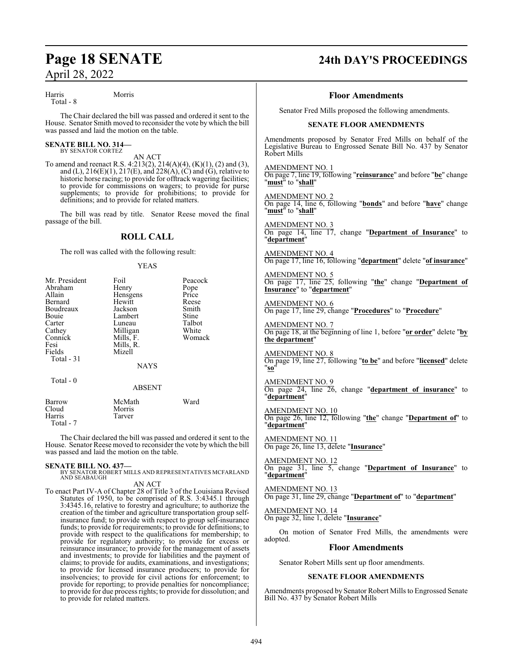Harris Morris

Total - 8

The Chair declared the bill was passed and ordered it sent to the House. Senator Smith moved to reconsider the vote by which the bill was passed and laid the motion on the table.

#### **SENATE BILL NO. 314—** BY SENATOR CORTEZ

AN ACT

To amend and reenact R.S. 4:213(2), 214(A)(4), (K)(1), (2) and (3), and (L),  $216(E)(1)$ ,  $217(E)$ , and  $228(A)$ , (C) and (G), relative to historic horse racing; to provide for offtrack wagering facilities; to provide for commissions on wagers; to provide for purse supplements; to provide for prohibitions; to provide for definitions; and to provide for related matters.

The bill was read by title. Senator Reese moved the final passage of the bill.

### **ROLL CALL**

The roll was called with the following result:

#### YEAS

| Mr. President<br>Abraham<br>Allain<br>Bernard<br>Boudreaux<br>Bouie<br>Carter<br>Cathey<br>Connick<br>Fesi<br>Fields | Foil<br>Henry<br>Hensgens<br>Hewitt<br>Jackson<br>Lambert<br>Luneau<br>Milligan<br>Mills, F.<br>Mills, R.<br>Mizell | Peacock<br>Pope<br>Price<br>Reese<br>Smith<br>Stine<br>Talbot<br>White<br>Womack |
|----------------------------------------------------------------------------------------------------------------------|---------------------------------------------------------------------------------------------------------------------|----------------------------------------------------------------------------------|
| Total - 31                                                                                                           | <b>NAYS</b>                                                                                                         |                                                                                  |
| Total $-0$                                                                                                           | <b>ABSENT</b>                                                                                                       |                                                                                  |
| Barrow<br>Cloud                                                                                                      | McMath<br>Morris                                                                                                    | Ward                                                                             |

The Chair declared the bill was passed and ordered it sent to the House. Senator Reese moved to reconsider the vote by which the bill was passed and laid the motion on the table.

Harris Tarver

Total - 7

**SENATE BILL NO. 437—** BY SENATOR ROBERT MILLS AND REPRESENTATIVES MCFARLAND AND SEABAUGH

AN ACT

To enact Part IV-A of Chapter 28 of Title 3 of the Louisiana Revised Statutes of 1950, to be comprised of R.S. 3:4345.1 through 3:4345.16, relative to forestry and agriculture; to authorize the creation of the timber and agriculture transportation group selfinsurance fund; to provide with respect to group self-insurance funds; to provide for requirements; to provide for definitions; to provide with respect to the qualifications for membership; to provide for regulatory authority; to provide for excess or reinsurance insurance; to provide for the management of assets and investments; to provide for liabilities and the payment of claims; to provide for audits, examinations, and investigations; to provide for licensed insurance producers; to provide for insolvencies; to provide for civil actions for enforcement; to provide for reporting; to provide penalties for noncompliance; to provide for due process rights; to provide for dissolution; and to provide for related matters.

## **Page 18 SENATE 24th DAY'S PROCEEDINGS**

#### **Floor Amendments**

Senator Fred Mills proposed the following amendments.

#### **SENATE FLOOR AMENDMENTS**

Amendments proposed by Senator Fred Mills on behalf of the Legislative Bureau to Engrossed Senate Bill No. 437 by Senator Robert Mills

AMENDMENT NO. 1 On page 7, line 19, following "**reinsurance**" and before "**be**" change "**must**" to "**shall**"

AMENDMENT NO. 2 On page 14, line 6, following "**bonds**" and before "**have**" change "**must**" to "**shall**"

AMENDMENT NO. 3 On page 14, line 17, change "**Department of Insurance**" to "**department**"

AMENDMENT NO. 4 On page 17, line 16, following "**department**" delete "**of insurance**"

AMENDMENT NO. 5 On page 17, line 25, following "**the**" change "**Department of Insurance**" to "**department**"

AMENDMENT NO. 6 On page 17, line 29, change "**Procedures**" to "**Procedure**"

AMENDMENT NO. 7 On page 18, at the beginning of line 1, before "**or order**" delete "**by the department**"

AMENDMENT NO. 8 On page 19, line 27, following "**to be**" and before "**licensed**" delete "**so**"

AMENDMENT NO. 9 On page 24, line 26, change "**department of insurance**" to "**department**"

AMENDMENT NO. 10 On page 26, line 12, following "**the**" change "**Department of**" to "**department**"

AMENDMENT NO. 11 On page 26, line 13, delete "**Insurance**"

AMENDMENT NO. 12 On page 31, line 5, change "**Department of Insurance**" to "**department**"

AMENDMENT NO. 13 On page 31, line 29, change "**Department of**" to "**department**"

AMENDMENT NO. 14 On page 32, line 1, delete "**Insurance**"

On motion of Senator Fred Mills, the amendments were adopted.

#### **Floor Amendments**

Senator Robert Mills sent up floor amendments.

#### **SENATE FLOOR AMENDMENTS**

Amendments proposed by Senator Robert Mills to Engrossed Senate Bill No. 437 by Senator Robert Mills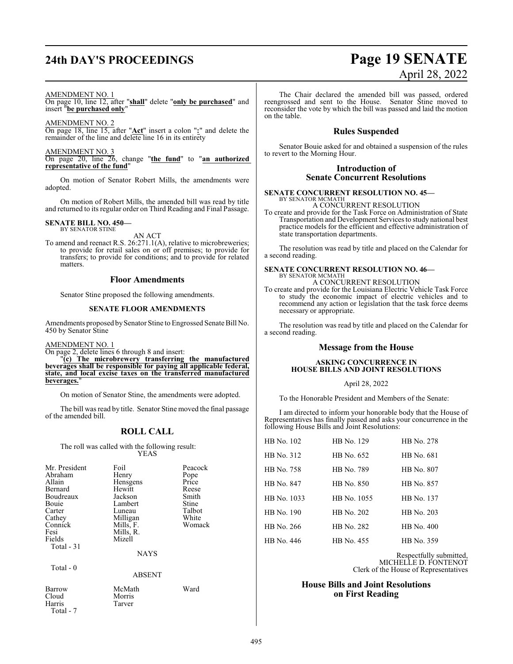# **24th DAY'S PROCEEDINGS Page 19 SENATE**

#### AMENDMENT NO. 1

On page 10, line 12, after "**shall**" delete "**only be purchased**" and insert "**be purchased only**"

AMENDMENT NO. 2 On page 18, line 15, after "**Act**" insert a colon "**:**" and delete the remainder of the line and delete line 16 in its entirety

AMENDMENT NO. 3

On page 20, line 26, change "**the fund**" to "**an authorized representative of the fund**"

On motion of Senator Robert Mills, the amendments were adopted.

On motion of Robert Mills, the amended bill was read by title and returned to its regular order on Third Reading and Final Passage.

#### **SENATE BILL NO. 450—** BY SENATOR STINE

AN ACT

To amend and reenact R.S. 26:271.1(A), relative to microbreweries; to provide for retail sales on or off premises; to provide for transfers; to provide for conditions; and to provide for related matters.

#### **Floor Amendments**

Senator Stine proposed the following amendments.

#### **SENATE FLOOR AMENDMENTS**

Amendments proposed by Senator Stine to Engrossed Senate Bill No. 450 by Senator Stine

AMENDMENT NO. 1

On page 2, delete lines 6 through 8 and insert:

"**(c) The microbrewery transferring the manufactured beverages shall be responsible for paying all applicable federal, state, and local excise taxes on the transferred manufactured beverages.**"

On motion of Senator Stine, the amendments were adopted.

The bill was read by title. Senator Stine moved the final passage of the amended bill.

### **ROLL CALL**

The roll was called with the following result: YEAS

| Mr. President | Foil        | Peacock |
|---------------|-------------|---------|
| Abraham       | Henry       | Pope    |
| Allain        | Hensgens    | Price   |
| Bernard       | Hewitt      | Reese   |
| Boudreaux     | Jackson     | Smith   |
| Bouie         | Lambert     | Stine   |
| Carter        | Luneau      | Talbot  |
| Cathey        | Milligan    | White   |
| Connick       | Mills, F.   | Womack  |
| Fesi          | Mills, R.   |         |
| Fields        | Mizell      |         |
| Total $-31$   |             |         |
|               | <b>NAYS</b> |         |
| Total $-0$    |             |         |
|               | ABSENT      |         |

Cloud Morris<br>Harris Tarver Total - 7

Barrow McMath Ward<br>Cloud Morris Tarver

April 28, 2022

The Chair declared the amended bill was passed, ordered reengrossed and sent to the House. Senator Stine moved to reconsider the vote by which the bill was passed and laid the motion on the table.

#### **Rules Suspended**

Senator Bouie asked for and obtained a suspension of the rules to revert to the Morning Hour.

#### **Introduction of Senate Concurrent Resolutions**

**SENATE CONCURRENT RESOLUTION NO. 45—** BY SENATOR MCMATH

A CONCURRENT RESOLUTION

To create and provide for the Task Force on Administration of State Transportation and Development Services to study national best practice models for the efficient and effective administration of state transportation departments.

The resolution was read by title and placed on the Calendar for a second reading.

#### **SENATE CONCURRENT RESOLUTION NO. 46—** BY SENATOR MCMATH

A CONCURRENT RESOLUTION

To create and provide for the Louisiana Electric Vehicle Task Force to study the economic impact of electric vehicles and to recommend any action or legislation that the task force deems necessary or appropriate.

The resolution was read by title and placed on the Calendar for a second reading.

#### **Message from the House**

#### **ASKING CONCURRENCE IN HOUSE BILLS AND JOINT RESOLUTIONS**

#### April 28, 2022

To the Honorable President and Members of the Senate:

I am directed to inform your honorable body that the House of Representatives has finally passed and asks your concurrence in the following House Bills and Joint Resolutions:

| HB No. 102  | HB No. 129  | HB No. 278 |
|-------------|-------------|------------|
| HB No. 312  | HB No. 652  | HB No. 681 |
| HB No. 758  | HB No. 789  | HB No. 807 |
| HB No. 847  | HB No. 850  | HB No. 857 |
| HB No. 1033 | HB No. 1055 | HB No. 137 |
| HB No. 190  | HB No. 202  | HB No. 203 |
| HB No. 266  | HB No. 282  | HB No. 400 |
| HB No. 446  | HB No. 455  | HB No. 359 |

Respectfully submitted, MICHELLE D. FONTENOT Clerk of the House of Representatives

#### **House Bills and Joint Resolutions on First Reading**

#### 495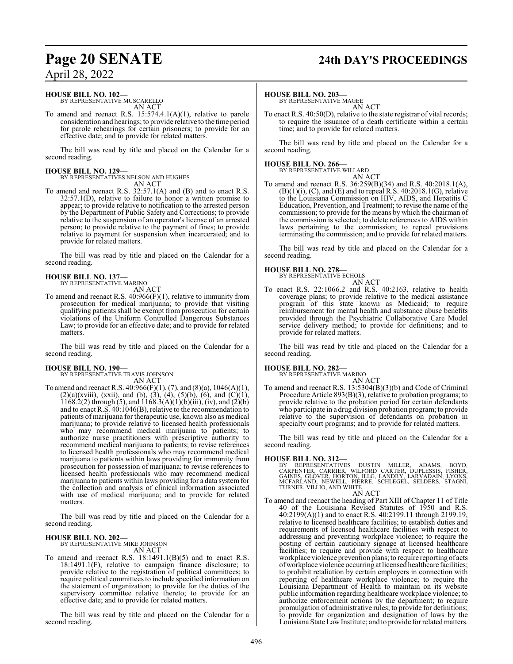#### **HOUSE BILL NO. 102—**

BY REPRESENTATIVE MUSCARELLO AN ACT

To amend and reenact R.S. 15:574.4.1(A)(1), relative to parole consideration and hearings; to provide relative to the time period for parole rehearings for certain prisoners; to provide for an effective date; and to provide for related matters.

The bill was read by title and placed on the Calendar for a second reading.

#### **HOUSE BILL NO. 129—**

BY REPRESENTATIVES NELSON AND HUGHES AN ACT

To amend and reenact R.S. 32:57.1(A) and (B) and to enact R.S.  $32:57.1(D)$ , relative to failure to honor a written promise to appear; to provide relative to notification to the arrested person by the Department of Public Safety and Corrections; to provide relative to the suspension of an operator's license of an arrested person; to provide relative to the payment of fines; to provide relative to payment for suspension when incarcerated; and to provide for related matters.

The bill was read by title and placed on the Calendar for a second reading.

#### **HOUSE BILL NO. 137—** BY REPRESENTATIVE MARINO

AN ACT

To amend and reenact R.S.  $40:966(F)(1)$ , relative to immunity from prosecution for medical marijuana; to provide that visiting qualifying patients shall be exempt from prosecution for certain violations of the Uniform Controlled Dangerous Substances Law; to provide for an effective date; and to provide for related matters.

The bill was read by title and placed on the Calendar for a second reading.

#### **HOUSE BILL NO. 190—**

BY REPRESENTATIVE TRAVIS JOHNSON AN ACT

To amend and reenact R.S.  $40:966(F)(1)$ ,  $(7)$ , and  $(8)(a)$ ,  $1046(A)(1)$ ,  $(2)(a)(xviii)$ ,  $(xxii)$ , and  $(b)$ ,  $(3)$ ,  $(4)$ ,  $(5)(b)$ ,  $(6)$ , and  $(C)(1)$ , 1168.2(2) through (5), and  $1168.3(A)(1)(b)(iii)$ , (iv), and (2)(b) and to enact R.S. 40:1046(B), relative to the recommendation to patients of marijuana for therapeutic use, known also as medical marijuana; to provide relative to licensed health professionals who may recommend medical marijuana to patients; to authorize nurse practitioners with prescriptive authority to recommend medical marijuana to patients; to revise references to licensed health professionals who may recommend medical marijuana to patients within laws providing for immunity from prosecution for possession of marijuana; to revise references to licensed health professionals who may recommend medical marijuana to patients within laws providing for a data systemfor the collection and analysis of clinical information associated with use of medical marijuana; and to provide for related matters.

The bill was read by title and placed on the Calendar for a second reading.

#### **HOUSE BILL NO. 202—** BY REPRESENTATIVE MIKE JOHNSON

AN ACT

To amend and reenact R.S. 18:1491.1(B)(5) and to enact R.S. 18:1491.1(F), relative to campaign finance disclosure; to provide relative to the registration of political committees; to require political committees to include specified information on the statement of organization; to provide for the duties of the supervisory committee relative thereto; to provide for an effective date; and to provide for related matters.

The bill was read by title and placed on the Calendar for a second reading.

## **Page 20 SENATE 24th DAY'S PROCEEDINGS**

#### **HOUSE BILL NO. 203—**

BY REPRESENTATIVE MAGEE AN ACT

To enact R.S. 40:50(D), relative to the state registrar of vital records; to require the issuance of a death certificate within a certain time; and to provide for related matters.

The bill was read by title and placed on the Calendar for a second reading.

#### **HOUSE BILL NO. 266—**

BY REPRESENTATIVE WILLARD AN ACT

To amend and reenact R.S. 36:259(B)(34) and R.S. 40:2018.1(A),  $(B)(1)(i)$ ,  $(C)$ , and  $(E)$  and to repeal R.S. 40:2018.1 $(G)$ , relative to the Louisiana Commission on HIV, AIDS, and Hepatitis C Education, Prevention, and Treatment; to revise the name of the commission; to provide for the means by which the chairman of the commission is selected; to delete references to AIDS within laws pertaining to the commission; to repeal provisions terminating the commission; and to provide for related matters.

The bill was read by title and placed on the Calendar for a second reading.

#### **HOUSE BILL NO. 278—**



To enact R.S. 22:1066.2 and R.S. 40:2163, relative to health coverage plans; to provide relative to the medical assistance program of this state known as Medicaid; to require reimbursement for mental health and substance abuse benefits provided through the Psychiatric Collaborative Care Model service delivery method; to provide for definitions; and to provide for related matters.

The bill was read by title and placed on the Calendar for a second reading.

## **HOUSE BILL NO. 282—** BY REPRESENTATIVE MARINO

AN ACT

To amend and reenact R.S. 13:5304(B)(3)(b) and Code of Criminal Procedure Article 893(B)(3), relative to probation programs; to provide relative to the probation period for certain defendants who participate in a drug division probation program; to provide relative to the supervision of defendants on probation in specialty court programs; and to provide for related matters.

The bill was read by title and placed on the Calendar for a second reading.

**HOUSE BILL NO. 312—**<br>BY REPRESENTATIVES DUSTIN MILLER, ADAMS, BOYD,<br>CARPENTER, CARRIER, WILFORD CARTER, DUPLESSIS, FISHER,<br>GAINES, GLÖVER, HORTON, ILLG, LANDRY, LARVADAIN, LYONS,<br>MCFARLAND, NEWELL, PIERRE, SCHLEGEL, SELDE

### AN ACT

To amend and reenact the heading of Part XIII of Chapter 11 of Title 40 of the Louisiana Revised Statutes of 1950 and R.S. 40:2199(A)(1) and to enact R.S. 40:2199.11 through 2199.19, relative to licensed healthcare facilities; to establish duties and requirements of licensed healthcare facilities with respect to addressing and preventing workplace violence; to require the posting of certain cautionary signage at licensed healthcare facilities; to require and provide with respect to healthcare workplace violence prevention plans; to require reporting of acts ofworkplace violence occurring at licensed healthcare facilities; to prohibit retaliation by certain employers in connection with reporting of healthcare workplace violence; to require the Louisiana Department of Health to maintain on its website public information regarding healthcare workplace violence; to authorize enforcement actions by the department; to require promulgation of administrative rules; to provide for definitions; to provide for organization and designation of laws by the Louisiana State LawInstitute; and to provide for related matters.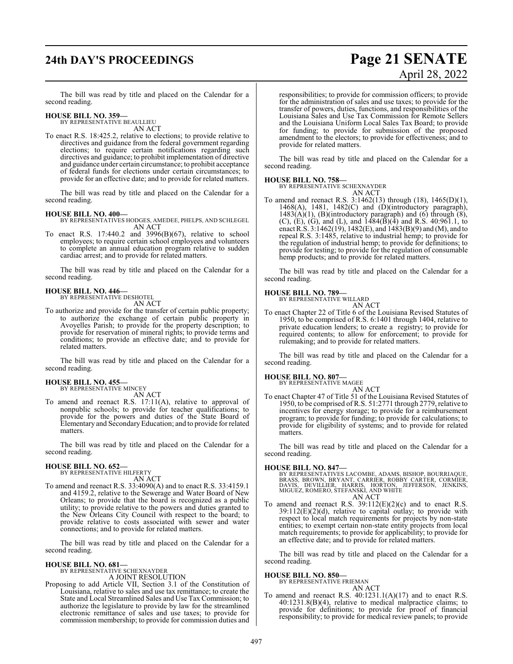## **24th DAY'S PROCEEDINGS Page 21 SENATE**

# April 28, 2022

The bill was read by title and placed on the Calendar for a second reading.

#### **HOUSE BILL NO. 359—**

BY REPRESENTATIVE BEAULLIEU AN ACT

To enact R.S. 18:425.2, relative to elections; to provide relative to directives and guidance from the federal government regarding elections; to require certain notifications regarding such directives and guidance; to prohibit implementation of directive and guidance under certain circumstance; to prohibit acceptance of federal funds for elections under certain circumstances; to provide for an effective date; and to provide for related matters.

The bill was read by title and placed on the Calendar for a second reading.

#### **HOUSE BILL NO. 400—**

BY REPRESENTATIVES HODGES, AMEDEE, PHELPS, AND SCHLEGEL AN ACT

To enact R.S. 17:440.2 and 3996(B)(67), relative to school employees; to require certain school employees and volunteers to complete an annual education program relative to sudden cardiac arrest; and to provide for related matters.

The bill was read by title and placed on the Calendar for a second reading.

## **HOUSE BILL NO. 446—** BY REPRESENTATIVE DESHOTEL

AN ACT

To authorize and provide for the transfer of certain public property; to authorize the exchange of certain public property in Avoyelles Parish; to provide for the property description; to provide for reservation of mineral rights; to provide terms and conditions; to provide an effective date; and to provide for related matters.

The bill was read by title and placed on the Calendar for a second reading.

#### **HOUSE BILL NO. 455—** BY REPRESENTATIVE MINCEY

AN ACT

To amend and reenact R.S. 17:11(A), relative to approval of nonpublic schools; to provide for teacher qualifications; to provide for the powers and duties of the State Board of Elementary and SecondaryEducation; and to provide for related matters.

The bill was read by title and placed on the Calendar for a second reading.

#### **HOUSE BILL NO. 652—**

BY REPRESENTATIVE HILFERTY AN ACT

To amend and reenact R.S. 33:4090(A) and to enact R.S. 33:4159.1 and 4159.2, relative to the Sewerage and Water Board of New Orleans; to provide that the board is recognized as a public utility; to provide relative to the powers and duties granted to the New Orleans City Council with respect to the board; to provide relative to costs associated with sewer and water connections; and to provide for related matters.

The bill was read by title and placed on the Calendar for a second reading.

#### **HOUSE BILL NO. 681—**

BY REPRESENTATIVE SCHEXNAYDER A JOINT RESOLUTION

Proposing to add Article VII, Section 3.1 of the Constitution of Louisiana, relative to sales and use tax remittance; to create the State and Local Streamlined Sales and Use Tax Commission; to authorize the legislature to provide by law for the streamlined electronic remittance of sales and use taxes; to provide for commission membership; to provide for commission duties and

responsibilities; to provide for commission officers; to provide for the administration of sales and use taxes; to provide for the transfer of powers, duties, functions, and responsibilities of the Louisiana Sales and Use Tax Commission for Remote Sellers and the Louisiana Uniform Local Sales Tax Board; to provide for funding; to provide for submission of the proposed amendment to the electors; to provide for effectiveness; and to provide for related matters.

The bill was read by title and placed on the Calendar for a second reading.

#### **HOUSE BILL NO. 758—**

BY REPRESENTATIVE SCHEXNAYDER AN ACT

To amend and reenact R.S. 3:1462(13) through (18), 1465(D)(1), 1468(A), 1481, 1482(C) and (D)(introductory paragraph),  $1483(A)(1)$ , (B)(introductory paragraph) and (6) through (8), (C), (E), (G), and (L), and 1484(B)(4) and R.S. 40:961.1, to enact R.S. 3:1462(19), 1482(E), and 1483(B)(9) and (M), and to repeal R.S. 3:1485, relative to industrial hemp; to provide for the regulation of industrial hemp; to provide for definitions; to provide for testing; to provide for the regulation of consumable hemp products; and to provide for related matters.

The bill was read by title and placed on the Calendar for a second reading.

## **HOUSE BILL NO. 789—** BY REPRESENTATIVE WILLARD

AN ACT

To enact Chapter 22 of Title 6 of the Louisiana Revised Statutes of 1950, to be comprised of R.S. 6:1401 through 1404, relative to private education lenders; to create a registry; to provide for required contents; to allow for enforcement; to provide for rulemaking; and to provide for related matters.

The bill was read by title and placed on the Calendar for a second reading.

**HOUSE BILL NO. 807—** BY REPRESENTATIVE MAGEE

AN ACT

To enact Chapter 47 of Title 51 of the Louisiana Revised Statutes of 1950, to be comprised of R.S. 51:2771 through 2779, relative to incentives for energy storage; to provide for a reimbursement program; to provide for funding; to provide for calculations; to provide for eligibility of systems; and to provide for related matters.

The bill was read by title and placed on the Calendar for a second reading.

**HOUSE BILL NO. 847—**<br>BY REPRESENTATIVES LACOMBE, ADAMS, BISHOP, BOURRIAQUE,<br>BRASS, BROWN, BRYANT, CARRIER, ROBBY CARTER, CORMIER,<br>DAVIS, DEVILLIER, HARRIS, HORTON, JEFFERSON, JENKINS,<br>MIGUEZ, ROMERO, STEFANSKI, AND WHITE AN ACT

To amend and reenact R.S.  $39:112(E)(2)(c)$  and to enact R.S.  $39:112(E)(2)(d)$ , relative to capital outlay; to provide with respect to local match requirements for projects by non-state entities; to exempt certain non-state entity projects from local match requirements; to provide for applicability; to provide for an effective date; and to provide for related matters.

The bill was read by title and placed on the Calendar for a second reading.

#### **HOUSE BILL NO. 850—**

BY REPRESENTATIVE FRIEMAN AN ACT

To amend and reenact R.S. 40:1231.1(A)(17) and to enact R.S. 40:1231.8(B)(4), relative to medical malpractice claims; to provide for definitions; to provide for proof of financial responsibility; to provide for medical review panels; to provide